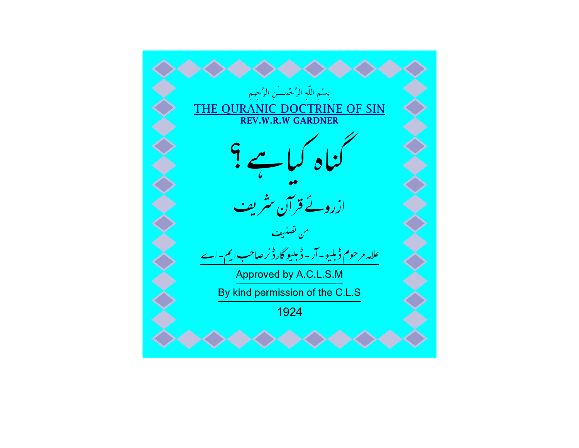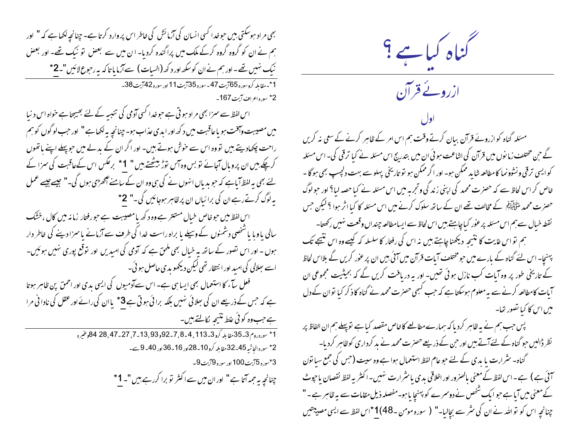بھی مراد ہوسکتی بیں حوضدا کسی انسان کی آزمائش کی خاطر اس پروارد کرتا ہے۔ چنانچہ لکھا ہے کہ " اور ہم نے ان کو گروہ گروہ کرکے ملک میں پراگندہ کردیا۔ ان میں سے بعض نو نیک تھے۔ اور بعض نیک نہیں تھے۔اور ہم نےان کوسکھ اور دکھ (السیات) سےآزما پا تاکہ بہ رحوع لائیں"۔2\* 1\* مقابله كروسوره 65آيت 47 - سوره 35آيت 11 اور سوره 42آيت 38 -2\* سورہ اعراف آیت 167۔ اس لفظ سے سمزا بھی مراد ہو تی ہے حوضدا کسی آدمی کی تنبیہ کے لئے بھیجتا ہے حواہ اس د نیا

میں مصیبت وآفت ہو یاعاقبت میں د کھ اور ابدی عذاب ہو۔ چنانچہ بہ لکھاہے " اور حب لوگوں کو ہم راحت چکھادیتے ہیں تووہ اس سے خوش ہوتے ہیں۔ اور اگر ان کے بدلے میں حوپہلے اپنے ہاتھوں کرچکے ہیں ان پروبال آجائے تو بس وہ آس نوڑ بیٹھتے ہیں " 1\* برعکس اس کےعاقبت کی سمزا کے <sup>لئے</sup> بھی بیہ لفظ<sup>5</sup>یاہے کہ حبو بدیاں انہوں نے کی ہی وہ ان کے سامنے آٹھڑ<sup>ی</sup>ی ہوں گی۔" جیسے *جیسے عم*ل یہ لوگ کرتے رہے ان کی برائیاں ان پرظاہر ہوجائیں گی۔" 2\* اس لفظ میں حوطاص خبال مستتر ہے وہ د کھ یامصیبت ہے حورفتار زمانہ میں کال ،خشک سالی یاوبا یا شخصی دشمنوں کے وسیلے یا براہ راست خدا کی طرف سے آزمانے پاسمزا دینے کی خاطر دار ہوں ۔ اور اس تصور کے ساتھ یہ خیال بھی ملحق ہے کہ آدمی کی امیدیں اور توقع پوری نہیں ہوئیں۔ اسے سِلالی کی امید اور انتظار تھی لیکن دیکھو بدی حاصل ہو ئی۔ فعل سآء کا استعمال بھی ایسا ہی ہے۔ اس سےآدمیوں کی ایسی بدی اور احمق پن ظاہر ہوتا ہے کہ حس کے ذریعے ان کی سِلائی سٰہیں بلکہ برائی ہوتی ہے 3\* یاان کی رائے اور عقل کی نادا فی مرا ہے حب وہ کوئی علط نتیجہ لکالتے ہیں۔

1\* سوره روم 33-35 مقا بله كرو 33-113، 4-8، 7-92, 93, 13-71، 27-84، 84 هوعنيره <sup>2\*</sup> سورہ الجاشیہ 25۔32مقابلہ کرو 10۔28اور 16۔36اور 40۔9 سے۔ 3\*سوره 5آيت100 اور سوره 9آيت 9-چنانچہِ بہ حم**مہ آتا ہے" اور ان میں سے اکثر تو برا کررہے ہیں"۔ 1 \*** 

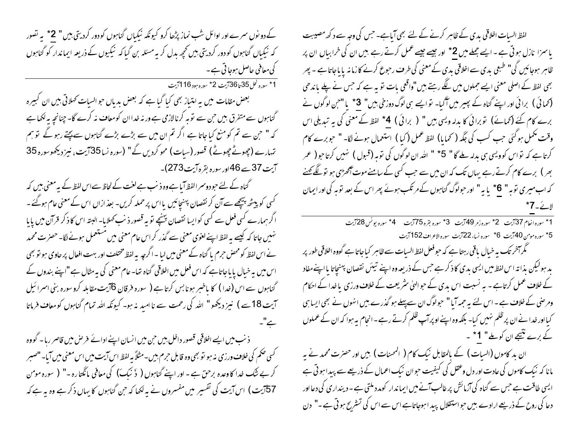کے دو نوں سمرے اور اوائل شب نماز پڑھا کرو کیونکہ نیکباں گناہوں کو دور کردیتی ہیں " 2\* یہ تصور کہ نیکیاں گناہوں کو دور کردیتی ہیں تحچیہ بدل کر یہ مسئلہ بن گیا کہ نیکیوں کے ذریعہ ایماندار کو گناہوں کی معافی حاصل ہوجا تی ہے۔ 1\* سورہ نحل<sup>35</sup>تا<sup>36</sup>آیت <sup>2\*</sup> سورہ ہود<sup>116</sup>آیت بعض مقامات میں یہ امتیاز بھی کیا گیا ہے کہ بعض بدیاں حو السیات کھلاتی ہیں ان کبیرہ

گناہوں سے متفرق بیں حن سے توبہ کرنالازمی ہے ور نہ خدا ان کومعاف نہ کرے گا- چنانچہ یہ لکھا ہے کہ " حبن سے تم کو منع کیا جاتا ہے اگر تم ان میں سے بڑے بڑے گناہوں سے بچتے رہو گے تو ہم تہارے (جیوٹے جیوٹے) قصور (سیات) محو کردیں گے" (سورہ نسا35آیت، نیز دیکھوسورہ 35 آیت 37سے 46 اور سورہ بقرہ آیت 273)۔

گناہ کے لئے حبودوسمر الفظ آیا ہےوہ ذنب ہے لغت کے لحاظ سےاس لفظ کے بیہ معنی بیں کہ گسی کو پیٹھ پیچھے سے آن کر نقصان پہنچائیں یااس پر حملہ کریں۔ بعذ ازاں اس کے معنی عام ہوگئے ۔ اگر ہمارے کسی فعل سے کسی کوایسا نقصان پہنچے تو یہ قصور ذیب کھلایا۔ البتہ اس کا ذکر قرآن میں پایا <sup>من</sup>ہیں جاتا کہ کیسے یہ لفظ اپنے لعوی معنی سے گذر کر اس عام معنی میں مستعمل ہونے لگا۔ حصرت محمد نے اس لفظ کو محص حرم پا گناہ کے معنی میں لیا ۔اگرچہ پہ لفظ مختلف اور بہت افعال پر حاوی ہو تو بھی اس میں بیہ خیال پا پاجاتاہے کہ اس فعل میں اخلاقی گناہ تھا۔ عام معنی کی پہ مثال ہے "اپنے بندوں کے آیت 18سے ) نیز دیکھو " اللہ کی رحمت سے نا امید نہ ہو۔ کیونکہ اللہ تمام گناہوں کومعاف فرماتا

ذ نب میں ایسے اخلاقی قصور داخل بیں حن میں انسان اپنے ادائے فرص میں قاصر رہا۔ گووہ گسی حکم کی خلاف ورزی نہ ہو نو بھی وہ قابل حرم ہیں۔مثلاً بہ لفظ اس آیت میں اس معنی میں آیا۔ "صبر " کر بے ننگ خدا کاوعدہ برحق ہے - اور اپنے گناہوں ( ذَ نبک) کی معافی مانگٹارہ -" ( سورہ مومن 57 آیت) اس آیت کی تفسیر میں مفسروں نے بہ لکھا کہ حن گناہوں کا یہاں ذکر ہے وہ ہہ ہے کہ

لفظ السیات اخلاقی بدی کے ظاہر کرنے کے لئے بھی آیاہے۔ جس کی وجہ سے د کھ مصیبت یاسمزا نازل ہوتی ہے ۔ایسے جملے میں 2\* اور جیسے جیسے عمل کرتے رہے ہیں ان کی خرابیاں ان پر ظاہر ہوجائیں گی" طبعی بدی سے اخلاقی بدی کے معنی کی طرف رحبوع کرنے کا زمانہ پایاجاتا ہے ۔ پھر بھی لفظ کے اصلی معنی ایسے حملوں میں لگے رہتے ہیں "واقعی بات تو بہ ہے کہ حس نے پلے باندھی (کھائی ) برائی اور اپنے گناہ کے بھیر میں آگیا۔ تو ایسے ہی لوگ دوزخی بیں" 3\* یا "حن لوگوں نے برے کام کئے (کھائے) توبرا ٹی کا بدلہ ویسی ہیں " ( برائی ) 4\* لفظ کے معنی کی یہ تبدیلی اس وقت مکمل ہو گئی جب کسب کی جگہ ( کمایا) لفظ عمل (کیا ) استعمال ہونے لگا۔ " حبوبرے کام کرتا ہے کہ تواس کوویسی ہی بدلہ ملے گا" 5\* " اللہ ان لوگوں کی توبہ (قبول ) نہیں کرتاحو( عمر بھر ) برے کام کرتے رہے بہاں تک کہ ان میں سے جب کسی کے سامنے موت آٹھڑی ہو تو لگے گھنے کہ اب میری نوبہ " 6\* یا ہہ" اور حولوگ گناہوں کے مرتکب ہوئے پھر اس کے بعد نوبہ کی اور ایمان

> <sup>45</sup> سوره موس<sup>40</sup>آیت <sup>6\*</sup> سوره نساء 22آیت سوره الاعرا**ف 1**52آیت

گھر آخر تک یہ خیال باقی رہتا ہے کہ حبو فعل لفظ السیات سے ظاہر کیاجاتا ہے گووہ اخلاقی طور پر بد ہولیکن بذاتہ اس لفظ میں ایسی بدی کا ذکر ہے جس کے ذریعہ وہ اپنے تیئں نقصان پہنچاتا یا اپنےمفاد کے خلاف عمل کرتاہے - بہ نسبت اس بدی کے حبوالہٰی سٹریعت کے خلاف ورزی یا خدا کے احکام ومرضی کے خلاف ہے ۔اس لئے یہ حمہ آیا " حبولوگ ان سے پہلے ہو گذرے ہیں انہوں نے بھی ایسا ہی کیااور خدا نے ان پر ظلم نہیں کیا- بلکہ وہ اپنے اوپر آپ ظلم کرتے رہے - انجام یہ ہوا کہ ان کے عملوں کے برے نتیجے ان کوملے" 1\* ۔

ان بد کاموں (السیات ) کے بالمقابل نیک کام ( المحسنات ) بیں اور حصرت محمد نے یہ مانا کہ نیک کاموں کی عادت اور دل وعقل کی کیفیت حوان نیک اعمال کے ذریعے سے پیدا ہوتی ہے ایسی طاقت ہے جس سے گناہ کی آزمائش پر غالب آنے میں ایماندار کومدد ملتی ہے ۔ دینداری کی دعااور دعا کی روح کے ذریعے ارادے ہیں حواستقلال پید امہوجاتاہے اس سے اس کی تسٹریح ہو تی ہے۔" دن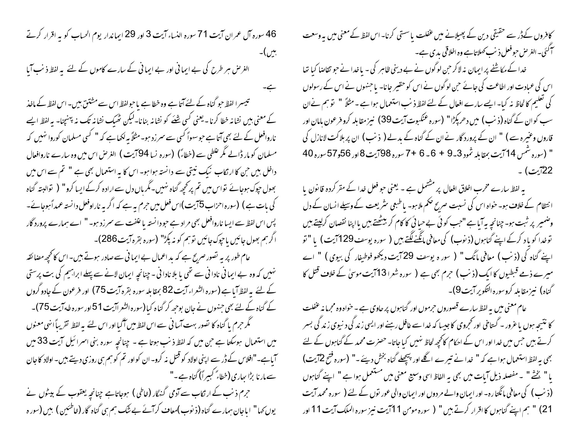46 سورہ آل عمران آیت 71 سورہ النساء آیت 3 اور 29 ایماندار یوم الحساب کو یہ اقرار کرتے بين)-الغرض ہر طرح کی بے ایمانی اور بے ایمانی کے سارے کاموں کے لئے یہ لفظ ذنب آیا تبیسرا لفظ حبو گناہ کے لئے آتا ہے وہ خطا ہے یاحبولفظ اس سے مشتتن بیں۔ اس لفظ کے ماخذ کے معنی بیں نشانہ خطا کرنا۔یعنی کسی شئے کو نشانہ بنانا۔لیکن ٹھیک نشانہ تک نہ پہنچنا- یہ لفظ ایسے ناروافعل کے لئے بھی آتا ہے حبوسہواؐ کسی سے سمر زد ہو۔ مثلاً بہ لکھا ہے کہ " کسی مسلمان کوروا نہیں کہ مسلمان کو مار ڈالے مگر علطی سے (خطاءً) (سورہ نسا 94 آیت ) الغرص اس میں وہ سارے ناروافعال داخل ہیں جن کا ارتکاب نیک نیتی سے دانستہ ہوا ہو۔ اس کا بہ استعمال بھی ہے " تم سے اس میں بھول حیوک ہوجائے نواس میں تم پر کحچھ گناہ نہیں۔مگرباں دل سے ارادہ کرکے ایسا کرو" ( نوالبتہ گناہ کی بات ہے ) (سورہ احرٰاب 5آیت)اس فعل میں حرم بہ ہے کہ اگر بہ ناراوفعل دانستہ عمداً ہوجائے۔ پس اس لفظ سے ایسا ناروافعل بھی مراد ہے حودانستہ یا علفت سے سمرزد ہو۔ " اے ہمارے پرورد گار اگرہم بھول جائیں یاجوک جائیں توہم کو نہ پکڑ" (سورہ بقرہ آیت286)۔

عام طور پر ہہ تصور صریح ہے کہ بد اعمال بے ایما فی سے صادر ہوتے ہیں۔اس کا کحچھ مضائقہ <sup>من</sup>بیں کہ وہ بے ایمانی نادا نی سے تھی یا بلا نادا نی - چنانچہ ایمان لانے سے پہلے ابراہیم کی بت پرستی کے لئے یہ لفظ آیا ہے (سورہ الشعراء آیت 82 بمقابلہ سورہ بقرہ آیت 75) اور فرعون کے جادو گروں کے گناہ کے لئے بھی جنہوں نے جان بوجھ کر گناہ کیا(سورہ الشعراآیت 51اور سورہ طہ آیت 75)۔ گھر حرم پا گناہ کا نصور بہت آسا فی سے اس لفظ میں آگیا اور اس لئے پہ لفظ تقریباً انہی معنوں میں استعمال ہوسکتا ہے جن میں کہ لفظ ذنب ہوتا ہے ۔ چنانچہ سورہ بنی اسرائیل آیت 33 میں آیاہے۔"افلاس کے ڈر سے اپنی اولاد کو قتل نہ کرو- ان کو اور تم کو ہم ہی روزی دیتے ہیں۔ اولاد کا جان سے مار نا بڑا ہجاری (خطاءً کبیراً) گناہ ہے۔"

حرم ذنب کے ارتکاب سے آدمی گنہگار (خاطی ) ہوجاتاہے چنانچہ یعقوب کے بیٹوں نے یوں کہا" اباجان ہمارے گناہ (ذیوب)معاف کرآئے بے شک ہم ہی گناہ گار (خاطئین ) ہیں (سور ہ کافروں کےدڑ سے حقیقی دین کے پھیلانے میں عنفلت یا سستی کرنا۔ اس لفظ کے معنی میں یہ وسعت آکئی۔ الغرض حبوفعل ذ نب کھلاتاہے وہ اخلاقی بدی ہے۔

خدا کے مکاشفے پر ایمان نہ لاکر حن لوگوں نے بے دینی ظاہر کی - یا خدا نے حبو تقاصا کیا تھا اس کی عمادت اور اطاعت کی جائے حبن لوگوں نے اس کو حقیر جانا- یا جنہوں نے اس کے رسولوں کی تعلیم کالحاظ نہ کیا۔ ایسے سارے افعال کے لئے لفظ ذ نب استعمال ہوا ہے ۔ مثلاً " تو ہم نےان سب کوان کے گناہ (ذ نب ) میں دھر پکڑا" (سورہ عنکبوت آیت 39) نیز مقابلہ کرو فرعون بامان اور قاروں وعنیرہ سے ) " ان کے پرورد گار نے ان کے گناہ کے بدلے ( ذنب ) ان پر بلا کت لانازل کی " (سورہ شمس 14 آیت بمقابلہ شمود 3-9 + 6 - 6 + 7 سورہ 98آیت 8اور 56و57 سورہ 40 22آیت) .

یہ لفظ سارے مخرب اخلاق افعال پر مشتمل ہے ۔ یعنی حبو فعل خدا کے مقر کردہ قا نون یا ا نتظام کے خلاف ہو۔ حواہ اس کی نسبت صریح صحم ملا ہو۔ پاطبعی سثر یعت کے وسیلے انسان کے دل وضمير پر ثبت ہو۔ چنانچہ بہ آیا ہے "حب کوئی بے حیا ئی کا کام کر بیٹھتے ہیں یااپنا نقصان کرلیتے ہیں توخدا کو یاد کرکے اپنے گناہوں (ذیوب) کی معافی ما<u>نگنے لگتے</u> ہیں ( سورہ یوسف 1297یت ) یا " تو اپنے گناہ کی (ذنب ) معافی مانگ" ( سور ہ یوسف 29 آیت دیکھو فوطیفار کی بیوی ) " اے میرے ذمے قبطیوں کا ایک (ذنب) حرم بھی ہے ( سورہ شعرا13 آیت موسیٰ کے خلاف قتل کا گناه) نیز مقابله کروسوره التکویر آیت9)۔

عام معنی میں پہ لفظ سارے قصوروں حرموں اور گناہوں پر حاوی ہے ۔ حواہ وہ مجرما نہ عفلت کا نتیجہ ہوں یا عرور ۔ گساخی اور تحروی کاجیسا کہ خدا سے غافل رہنے اور ایسی زندگی د نیوی زندگی بسر کرتے ہیں جس میں خدا اور اس کے احکام کانحچھ لحاظ نہیں کیا جاتا۔ حصرت محمد کے گناہوں کے لئے بھی بہ لفظ استعمال ہوا ہے کہ " خدا نے تیرے اگلے اور پیچھلے گناہ بخش دیئے ۔" (سورہ فتیح 12یت) یا " یخشْ " ۔مفصلہ ذیل آیات میں بھی بہ الفاظ اسی وسیع معنی میں مستعمل ہوا ہے " اپنے گناہوں (ذیب) کی معافی مانگتارہ- اور ایمان والے مر دوں اور ایمان والی عور توں کے لئے ( سورہ محمد آیت 21) " ہم اپنے گناہوں کا اقرار کرتے ہیں " ( سورہ مومن 11 آیت نیز سورہ الملک آیت 11 اور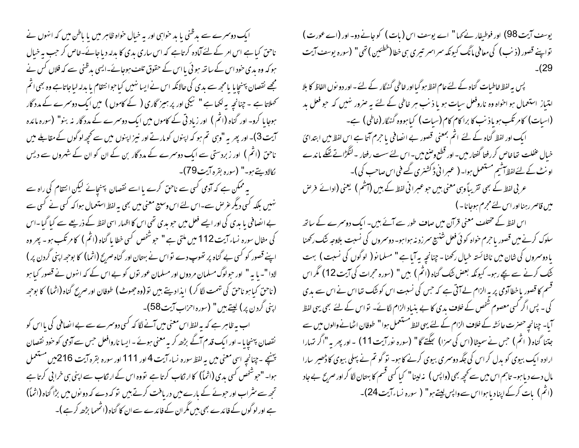ایک دوسمرے سے بدظنی یا بد حواہی اور بہ خیال حواہ ظاہر میں یا باطن میں کہ انہوں نے ناحق کیا ہے اس امر کے لئے آمادہ کرتاہے کہ اس ساری بدی کا بدلہ دیا جائے-خاص کر جب پہ خیال ہو کہ وہ بدی حنود اس کے ساتھ ہو ئی یا اس کے حقوق تلف ہوجائے۔ایسی بدظنی سے کہ فلاں کس نے مجھے نقصان پہنچایا یامجھ سے بدی کی حالانکہ اس نے ایسا نہیں کیاحوا نتقام یا بدلہ لباجاتاہے وہ بھی اثم کھلاتا ہے ۔ جنانچہ بہ لکھا ہے " نیکی اور پر ہمیز گاری ( کے کاموں ) میں ایک دوسرے کے مدد گار ہوجایا کرو۔ اور گناہ (اثم ) اور زیاد تی کے کاموں میں ایک دوسمرے کے مدد گار نہ بنو" (سورہ مائدہ آیت 3)۔ اور پھر یہ "وہی تم ہو کہ اپنوں کومارتے اور نیز اپنوں میں سے کحچھ لوگوں کے مقابلے میں ناحق (اثم ) اور زبردستی سے ایک دوسرے کے مدد گار بن کے ان کو ان کے شہروں سے دیس كالاديتے ہو۔" (سورہ بقرہ آيت79)۔

یہ ممکن ہے کہ آدمی کسی سے ناحق کرے یا اسے نقصان پہنچائے لیکن انتقام کی راہ سے نہیں بلکہ کسی دیگر عرص سے۔اس لئے اس وسیع معنی میں بھی بہ لفظ استعمال ہوا کہ کسی نے کسی سے بے انصافی یا بدی کی اور ایسے فعل میں حبو بدی تھی اس کا اظہار اسی لفظ کے ذریعے سے کیا گیا۔اس کی مثال سورہ نساء آیت 112 میں ملتی ہے " حبوشخص کسی خطا پا گناہ (اثم ) کا مرتکب ہو۔ پھر وہ اپنے قصور کو کسی بے گناہ پر تھوپ دے نواس نے بہتان اور گناہ صرح (اثما) کا بوجھ اپنی گردن پر ) لادا "۔ یا یہ " اور حبولوگ مسلمان مردوں اور مسلمان عور نوں کو بے اس کے کہ انہوں نے قصور کیا ہو (ناحق کیاہو ناحق کی تہمت لگا کر ) ایذادیتے بیں تو(وہ جھوٹ) طوفان اور صریح گناہ (اثما) کا بوجھہ اپنی گردن پر) کیتے ہیں " (سورہ احزاب آیت58)۔

اب بہ ظاہر ہے کہ یہ لفظ اس معنی میں آنے لگا کہ کسی دوسمرے سے بے انصافی کی یااس کو نقصان پہنچایا - اور ایک قدم آگے بڑھ کر بہ معنی ہوئے - ایسا ناروافعل حس سے آدمی کو خود نقصان بينيچ - جنانچه اسي معني ميں به لفظ سوره نساء آيت 4 اور 111 اور سوره بقره آيت 216ميں مستعمل ہوا۔ "حبوشخص کسی بدی (اثماً) کاار نکاب کرتا ہے تووہ اس کے ارتکاب سے اپنی ہی خرا بی کرتا ہے تجھ سے سٹراب اور حبوبے کے بارے میں دریافت کرتے ہیں تو کہ دے کہ دو نوں میں بڑا گناہ (اثماً) ہے اور لوگوں کے فائدے بھی بیں مگر ان کے فائدے سے ان کا گناہ (اشھما بڑھ کر ہے )۔

یوسف آیت 98) اور فوطیفار نے کہا" اے یوسف اس (بات) کو جانے دو- اور (اے عورت) تواپنے قصور (ذنب) کی معافی مانگ کیون*کہ سر*اسر تیری ہی خطا (خطئین ) تھی" (سورہ یوسف آیت  $(29)$ 

پس بہ لفظ خاطبات گناہ کے لئے عام لفظ ہو گیا اور خاطی گنہگار کے لئے ۔ اور دو نوں الفاظ کا بلا امتیاز استعمال ہو اخواہ وہ ناروفعل سیات ہو یا ذیب ہر خاطی کے لئے یہ صرور نہیں کہ حو فعل بد (اسبات) کام تکب ہو یاذ نب کا برا کام کام (سبات) کیا ہووہ گنہگار (خاطی) ہے۔ ا یک اور لفظ گناہ کے لئے اثم بمعنی قصور بے ایضافی یا حرم آتا ہے اس لفظ میں ابتدائ خیال عنفلت تھاخاص کررفتا گفتار میں۔ اور قطع وضع میں۔ اس لئے سست رفتار ۔لنگڑاتے تھکے ماندے اونٹ کے لئے لفظ آشیم مستعمل ہوا۔ ( عبرانی ڈکشنری گھے فی اس صاحب کی )۔ عربی لفظ کے بھی تقریباً وہی معنی ہیں جو عبرا فی لفظ کے ہیں (آشم ) یعنی (ادائے فرص میں قاصر رہنا اور اس لئے مجرم ہوجانا۔) اس لفظ کے مختلف معنی قرآن میں صاف طور سے آئے ہیں۔ ایک دوسرے کے ساتھ سلوک کرنے میں قصور یا حرم خواہ کوئی فعل شنسیج سرزد نہ ہوا ہو۔ دوسروں کی نسبت بلادصر شک رکھنا یا دوسمروں کی شان میں ناشائستہ خیال رکھنا۔چنانچہ یہ آیا ہے " مسلمانو ( لوگوں کی نسبت ) بہت نَنُک کرنے سے بچے رہو۔ کیونکہ بعض ننُک گناہ (اثم ) ہیں " (سورہ حجرات کی آیت 12) مگر اس قسم کا قصور یا خطاآدمی پر یہ الزام لےآتی ہے کہ حس کی نسبت اس کو ننگ تھااس نے اس سے بدی کی ۔ پس اگر کسی معصوم شخص کے خلاف بدی کا بے بنیاد الزام لگائے۔ تو اس کے لئے بھی یہی لفظ آیا۔ چنانچہ حصرت عائشہ کے خلاف الزام کے لئے یہی لفظ مستعمل ہوا" طوفان اٹھانے والوں میں سے جتنا گناہ ( اثم ) حس نے سمیٹا (اس کی سمزا) بھگتے گا" (سورہ نور آیت 11) ۔اور پھر یہ "اگر تہارا

ارادہ ایک بیوی کو بدل کر اس کی جگہ دوسری بیوی کرنے کا ہو۔ تو گو تم نے پہلی بیوی کا ڈھیر سارا مال دے دیا ہو۔ تاہم اس میں سے تحچھ بھی (واپس ) نہ لینا " کیا کسی قسم کا بہتان لگا کر اور صرح بے جاد (اثم) بات کرکےاپنادیاہوااس سےواپس لیتے ہو" ( سورہ نساءآیت 24)۔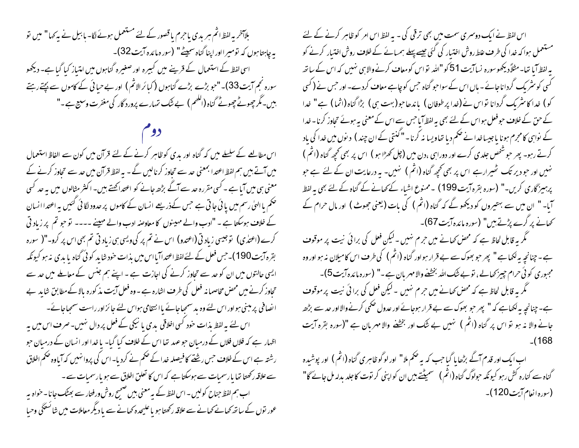بلاآخر بہ لفظ اثم ہر بدی باحرم یا قصور کے لئے مستعمل ہوئے لگا- بابیل نے بہ کھا" میں تو یہ چاہتاہوں کہ تومیرااور اپنا گناہ سمیٹے" (سورہ مائدہ آیت32)۔ اسی لفظ کے استعمال کے قرینے میں کبیرہ اور صغیرہ گناہوں میں امتیاز کیا گیا ہے۔ دیکھو سورہ نجم آیت33)۔"حبو بڑے بڑے گناہوں (کیا ئرالاثم) اور بے حیائی کے کاموں سے بچتے رہتے ہیں۔مگر چھوٹے چھوٹے گناہ (الکھم ) بے نتک تہارے پرورد گار کی مغفرت وسیع ہے ۔"

اس مطالعے کے سلسلے میں کہ گناہ اور بدی کوظاہر کرنے کے لئے قرآن میں کون سے الفاظ استعمال میں آتے ہیں ہم لفظ اعتدا بمعنی حد سے تحاوز کرنالیں گے - بہ لفظ قرآن میں حد سے تحاوز کرنے کے معنی ہی میں آیا ہے ۔ کسی مقررہ حد سے آگے بڑھے جانے کو اعتداکھتے ہیں۔ اکثر مثالوں میں بہ حد کسی تحکم یا الہٰیٰ رسم میں یا ئی جاتی ہے جس کےذریعے انسان کے کاموں پر حدود لگائی گئیں یہ اعتدا انسان کے خلاف ہوسکتا ہے ۔ "ادب والے مہینوں کا معاوضہ ادب والے مہینے ۔۔۔۔ تو حبو تم پر زیاد تی کرے (اعتدٰی) توجیسی زیاد تی (اعتدو) اس نے تم پر کی ویسی ہی زیاد تی تم بھی اس پر کرو۔"( سورہ { بقرہ آیت 190)۔حس فعل کے لئے لفظ اعتدا آیااس میں بذات حود شاید کوئی گناہ یا بدی نہ ہو کیونکہ ایسی حالتوں میں ان کو حد سے تحاوز کرنے کی اجازت ہے ۔ اپنے ہم جنس کے معاملے میں حد سے تحاوز کرنے میں محض مخاصما نہ فعل کی طرف اشارہ ہے ۔وہ فعل آیت مذ کورہ بالا کے مطابق شاید ہے انصافی پر مبنی ہواور اس لئے وہ بد سمجاجائے یاانتقامی ہواس لئے جائزاور راست سمجاجائے۔ اس لئے بہ لفظ مذات حفود کسی اخلاقی بدی یا نیکی کے فعل پر دال نہیں۔صرف اس میں یہ اظہار ہے کہ فلاں فلاں کے درمیان حو عہد تھا اس کے خلاف کیا گیا- یا خدا اور انسان کے درمیان حو رشتہ ہے اس کے خلاف حس رشنے کا فیصلہ خدا کے حکم نے کردیا۔اس کی پروانہیں کہ آیاوہ حکم اخلاق سے علاقہ رکھتا تھا یا رسمیات سے ہوسکتا ہے کہ اس کا تعلق اخلاق سے ہو یا رسمیات سے ۔ اب ہم لفظ جناح کولیں ۔ اس لفظ کے بیہ معنی ہیں صبح روش ورفینار سے بھٹک جانا۔ خواہ بیہ عور نوں کے ساتھ کھانے کھانے سے علاقہ رکھتا ہو یا علیحدہ کھانے سے یا دیگر معاملات میں شائسٹگی وحیا

اس لفظ نے ایک دوسمری سمت میں بھی ترقی کی - یہ لفظ اس امر کو ظاہر کرنے کے لئے مستعمل ہوا کہ خدا کی طرف علط روش اختیار کی گئی جیسے پہلے ہمیائے کے خلاف روش اختیار کرنے کو یہ لفظ آیا تھا۔مثلاً دیکھوسورہ نساآیت 51 کو "اللہ تو اس کومعاف کرنے والا ہی نہیں کہ اس کے ساتھ گسی کو مثر یک گرداناجائے۔ پاں اس کے سواحبو گناہ حس کو چاہے معاف کردے۔ اور حس نے ( کسی کو) غدا کائٹریک گردانا تواس نے (غدا پرطوفان ) یاندھاجو(بہت ہی) بڑا گناہ (اثما) ہے" غدا کے حن کے خلاف حبو فعل ہواس کے لئے بھی بہ لفظ آما حس سے اس کے معنی بہ ہوئے تحاوز کرنا - خدا کے نواہی کامجرم ہونا یاجیساخدا نے ضمم دیا تھاویسا نہ کرنا۔" کنتی کے ان چند ) د نوں میں خدا کی باد کرتے رہو۔ پھر حو شخص جلدی کرے اور دوراہی ،دن میں (چل کھڑا ہو ) اس پر بھی کحچھ گناہ (اثم ) نہیں اور حبو دیر تک ٹھیرارہے اس پر بھی تحجیہ گناہ (اثم ) نہیں۔ یہ درعایت ان کے لئے ہے حبو پرہیز گاری کریں۔" (سورہ بقرہ آیت 199) ۔ممنوع اشیاء کے کھانے کے گناہ کے لئے بھی یہ لفظ آیا۔ " ان میں سے بہتیروں کو دیکھو گے کہ گناہ (اثم ) کی بات (یعنی جھوٹ ) اور مال حرام کے کھانے پر گرے پڑتے ہیں" (سورہ مائدہ آیت67)۔

گھر یہ قابل لحاظ ہے کہ محض کھانے میں حرم نہیں ۔لیکن فعل کی برائی نیت پر موقوف ہے۔چنانچہ ہہ لکھاہے " پھر حبو بھوک سے بے قرار ہو اور گناہ (اثم ) کی طرف اس کامیلان نہ ہو اور وہ مجبوری کوئی حرام چیز کھالے، نوبے شک اللہ بخشنے والا مہربان ہے۔" (سورہ مائدہ آیت 5)۔ گھر یہ قابل لحاظ ہے کہ محض کھانے میں حرم نہیں ۔لیکن فعل کی برائی نیت پر موقوف ہے۔ چنانچہ بہ لکھاہے کہ " پھر حو بھوک سے بے قرار مہوجائے اور عدول حکمی کرنے والااور حد سے بڑھ جانے والا نہ ہو تو اس پر گناہ (اتّم ) نہیں بے نتُک اور بخشخہ والا مہربان ہے "(سورہ بقرہ آیت

اب ایک اور قدم آگے بڑھا ما گیا جب کہ بہ صحم ملا " اور لو گوظاہری گناہ (اثم ) اور پوشیدہ گناہ سے کنارہ کش رہو کیونکہ حولوگ گناہ (اثم ) سمیٹتے بیں ان کواپنی کر توت کاجلد بدلہ مل جائے گا" (سورہ انعام آیت 120)۔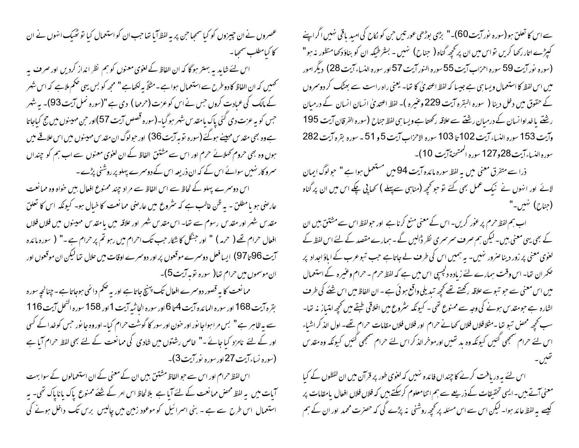سے اس کا تعلق ہو(سورہ نور آیت 60)۔" بڑی بوڑھی عور تیں حن کو لکاح کی امید یاقی نہیں اگراپنے کېږ په اتار رکھا کریں تواس میں ان پر کحچه گناه ( جناح) نهیں - بشرطیکه ان کو بناؤ دکھامنظور نه ہو " (سوره نور آیت 59 سوره احزاب آیت 55 سوره النور آیت 57 اور سوره النساء آیت 28) دیگر امور میں اس لفظ کا استعمال ویسا ہی ہے جیسا کہ لفظ اعتدیٰ کا تھا۔ یعنی راہ راست سے بھٹک کر دوسروں کے حقوق میں دخل دینا ( سورہ البقرہ آیت 229 وعنیرہ )۔ لفظ اعتدیٰ انسان انسان کے درمیان رشنے یا خداوا نسان کے درمیان رشتے سے علاقہ رکھتا ہے ویسا ہی لفظ جناح (سورہ الفرقان آیت 195 وآيت 153 سوره النساء آيت 102 تا 103 سوره الاحزاب آيت 5 و 51 - سوره بقره آيت 282 سوره النساء آيت 28و127 سوره الممتحنة آيت 10)-

ذرا سے متفرق معنی میں یہ لفظ سورہ مائدہ آیت 94میں مستعمل ہوا ہے " حوالوگ ایمان لائے اور انہوں نے نیک عمل بھی کئے تو حو تحچھ (مناہی سےپہلے ) تھاپی چکے اس میں ان پر گناہ (جناح) تہیں۔"

اب ہم لفظ حرم پر عوٰر کریں۔ اس کے معنی منع کرنا ہے اور حبولفظ اس سے مشتتیٰ ہیں ان کے بھی یہی معنی بیں۔لیکن ہم صرف سمر سمری نظر ڈالیں گے ۔ ہمارے مقصد کے لئے اس لفظ کے لغوی معنی پر زور دیناصرور نہیں۔ یہ ہمیں اس کی طرف لے جاتاہے جب تبوعرب کے اماؤ اجداد پر حکمران تھا۔ اس وقت ہمارے لئے زیادہ دلچسپی اس میں ہے کہ لفظ حرم ۔ حرام وعنیرہ کے استعمال میں اس معنی سے حبو تبوسے علاقہ رکھتے تھے کحچھ تیدیلی واقع ہوئی ہے ۔ ان الفاظ میں اس شَنَے کی طرف اشارہ ہے حبومقدس ہونے کی وجہ سے ممنوع تھی ۔ کیونکہ سثروع میں اخلاقی طبقے میں تحچھ امتیاز یہ تھا۔ سب تحجیر محص تبو تھا ۔مثلافلاں فلاں تحیانے حرام اور فلاں فلاں مقامات حرام تھے۔ اول الذ کر اشباء اس لئے حرام سمجھی گئیں کیونکہ وہ بد تھیں اورموخر الذکر اس لئے حرام سمجھی گئیں کیونکہ وہ مقد س

اس لئے ہہ دریافت کرنے کا چنداں فائدہ نہیں کہ لغوی طور پر قرآن میں ان لفظوں کے کیا معنی آتے ہیں۔ایسی تحقیقات کے ذریعے سے ہم اتنامعلوم کرسکتے ہیں کہ فلاں فلاں افعال پامقامات پر کیسے یہ لفظ عائد ہوا۔ لیکن اس سے اس مسئلہ پر محچھ روشنی نہ پڑے کی کہ حصرت محمد اور ان کے ہم

عصروں نے ان چیپزوں کو کیا سمجاحن پر یہ لفظ آیا تھا حب ان کو استعمال کیا تو ٹھیک انہوں نے ان كا كبامطلب سمجيا –

اس لئے شایدیہ بہتر ہوگا کہ ان الفاظ کے لغوی معنوں کو ہم نظر انداز کردیں اور صرف پہ تحمیں کہ ان الفاظ کا دوطرح سے استعمال ہوا ہے۔مثلاً بہ لکھاہے " مجھ کو بس یہی صحم ملاہے کہ اس شہر کے مالک کی عبادت کروں جس نے اس کو عزت (حرمہا ) دی ہے "(سورہ نمل آیت 93)۔ بہ شہر حبں کو بہ عزت دی گئی پاک بامقدس شہر ہو گیا۔(سورہ قصص آیت 57)اور حبن مہینوں میں حج کیاجاتا ہے وہ بھی مقدس مہینے ہوگئے (سورہ توبہ آیت 36) اور حولوگ ان مقدس مہینوں میں اس علاقے میں ہوں وہ بھی حروم کھلائے حرم اور اس سے مشتق الفاظ کے ان لغوی معنوں سے اب ہم کو چنداں مسرو کار نہیں سوائے اس کے کہ ان ذریعہ اس کے دوسمرے پہلو پر روشنی پڑے ۔

اس دوسرے پہلو کے لحاظ سے اس الفاظ سے مراد چند ممنوع افعال بیں حواہ وہ ممانعت عارضی ہو یامطلق - بہ ظن غالب ہے کہ سثروع میں عارضی ممانعت کا خیال ہو۔ کیونکہ اس کا تعلق مقدس شہر اور مقدس رسوم سے تھا۔ اس مقدس شہر اور علاقہ میں یا مقدس مہینوں میں فلاں فلاں افعال حرام تھے ( حرمہ ) " اور جنگل کا شکار جب تک احرام میں رہو تم پر حرام ہے ۔" ( سورہ مائدہ آیت 96 تا 97) ایسا فعل دوسرے موقعوں پر اور دوسرے اوقات میں حلال تھا لیکن ان موقعوں اور ان موسموں میں حرام تھا( سورہ توبہ آیت5)۔

ممانعت کا یہ قصور دوسمرے افعال تک پہنچ جاتا ہے اور یہ ضکم دائمی ہوجاتا ہے۔چنانچہ سورہ بقره آيت 168 اور سوره المائده آيت 4 تا 6 اور سوره الحاشيه آيت 1 اور 158 سوره النحل آيت 116 سے پہ ظاہر ہے " بس مراہواجا نور اور حنون اور سور کا گوشت حرام کیا۔ اور وہ جا نور حس کو خدا کے کسی اور کے لئے نامزد کیا جائے -" خاص رشتوں میں شادی کی ممانعت کے لئے بھی لفظ حرام آیا ہے (سورہ نساءآیت 27اور سورہ نورآیت3)۔

اس لفظ حرام اور اس سے حبو الفاظ مشتق بیں ان کے معنی کے ان استعمالوں کے سوا بہت آبات میں یہ لفظ محض ممانعت کے لئے آبا ہے بلالحاظ اس امر کے شئے ممنوع پاک باناپاک تھی۔ یہ استعمال اس طرح سے ہے ۔ بنی اسمرائیل کو موعود زمین میں چالیس برس تک داخل ہونے کی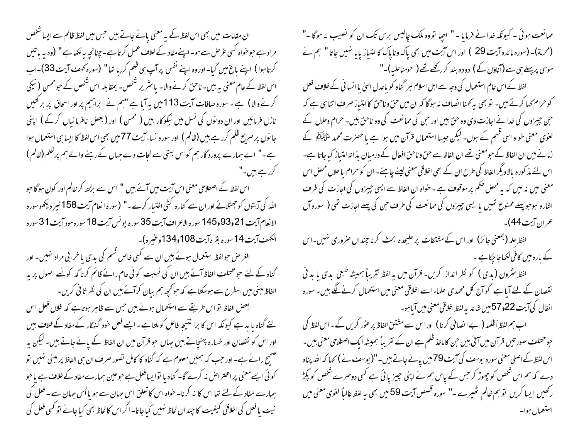ان مقامات میں بھی اس لفظ کے بیہ معنی پائے جاتے ہیں جس میں لفظ ظالم سے ایسا شخص مراد ہے حبوحنواہ کسی عرص سے ہو۔ اپنےمفاد کے خلاف عمل کرتا ہے۔ چنانچہ بہ لکھا ہے " (وہ یہ باتیں کرتا ہوا ) اپنے ماغ میں گیا۔اور وہ اپنے نفس پر آپ ہی ظلم کررہا تھا" (سورہ کھٹ آیت 33)۔اب اس لفظ کے عام معنی بہ بیں۔ ناحن کرنے والا۔ پاسٹریر شخص۔ بمقابلہ اس شخص کے حبو محسن ( نیکی کرنے والا ) ہے ۔ سورہ صافات آیت 113میں بہ آیا ہے "ہم نے ابراہیم پر اور اسحاق پر بر کتیں نازل فرمائیں اور ان دو نوں کی نسل میں نیکوکار بیں ( محسن ) اور (بعض نافرمانیاں کرکے ) اپنی جا نوں پر صریح ظلم کررہے ہیں (ظالم ) اور سورہ نساء آیت 77 میں بھی اس لفظ کا ایسا ہی استعمال ہوا `` ہے۔" اے ہمارے پرورد گار ہم کواس بستی سے نحات دے حہاں کے رہنے والے ہم پر ظلم (ظالم ) کررہے ہیں۔"

اس لفظ کے اصطلاحی معنی اس آیت میں آئے ہیں " اس سے بڑھ کر ظالم اور کون ہوگا حو اللہ کی آیتوں کو جھٹلائے اور ان سے کنارہ کثی اختیار کرے۔" (سورہ انعام آیت 158 نیز دیکھوسورہ الانعام آيت 21و93و145 سوره الاعراف آيت 35سوره يونس آيت 18 سوره مبود آيت 31 سوره الكهف آيت 14 سوره بقره آيت 108و134وعنيره)-

الغر حل حبولفظ استعمال ہوئے ہیں ان سے کسی خاص قسم کی بدی یا خرا بی مراد نہیں۔ اور گناہ کے لئے حبو مختلف الفاظ آئے ہیں ان کی نسبت کوئی عام رائے قائم کرنا کہ کونے اصول پر یہ الفاظ مبنی بیں اسطرح سے ہوسکتا ہے کہ حوکحچیہ ہم بیان کرآئے ہیں ان کی نظر ثا فی کریں۔ بعض الفاظ نو اس طریقے سے استعمال ہوئے ہیں جس سے ظاہر ہوتاہے کہ فلاں فعل اس لئے گناہ یا بد ہے کیونکہ اس کا برا نتیجہ فاعل کو ملتا ہے ۔ایسے فعل حود گنہگار کے مفاد کے خلاف ہیں اور اس کو نقصان اور خسارہ پہنچاتے ہیں جہاں حبو قرآن میں ان الفاظ کے پائے جاتے ہیں۔ لیکن بہ صحیح رائے ہے۔ اور حب کہ ہمیں معلوم ہے کہ گناہ کا کامل تصور صرف ان ہی الفاظ پر مبنی <sup>نہ</sup>یں تو کوئی ایسے معنی پراعتراض نہ کرے گا۔ گناہ یا نوایسافعل ہے حوعین ہمارے مفاد کے خلاف ہے یاحو ہمارے مفاد کے لئے تھا اس کا نہ کرنا۔ خواہ اس کا تعلق اس جہان سے ہو یا اُس جہان سے ۔ فعل کی نیت یا فعل کی اخلاقی کیفیت کا چنداں لحاظ نہیں کیا جاتا۔ اگر اس کالحاظ بھی کیاجائے تو کسی فعل کی

ممانعت ہوئی ۔ کیونکہ خدا نے فرمایا - " احیا تووہ ملک چالیس برس تک ان کو نصیب نہ ہوگا -" (محرمة)۔ (سورہ مائدہ آیت 29 ) اور اس آیت میں بھی پاک وناپاک کا امتیاز پایا نہیں جاتا " ہم نے موسیٰ پر پہلے ہی سے (آناؤں کے ) دودہ بند کررکھے تھے ( حومناعلیہ)۔"

لفظ کے اس عام استعمال کی وجہ سے اہل اسلام ہر گناہ کو پاعدل الہیٰ یا انسا فی کے خلاف فعل کو حرام کھا کرتے ہیں۔ تو بھی بہ کھنا انصاف نہ ہو گا کہ ان میں حق وناحق کا امتیاز صرف اتنا ہی ہے کہ ح بن چیزوں کی خدانے اجازت دی وہ حق بیں اور حن کی ممانعت کی وہ ناحق بیں۔ حرام وحلال کے لغوی معنی حواہ اسی قسم کے ہوں۔ لیکن جیسا استعمال قرآن میں ہوا ہے یا حصرت محمد ملٹی ایکم کے زمانے میں ان الفاظ کے حبومعنی تھے ان الفاظ سے حق و ناحق افعال کے درمیان بذا تہ امتیاز کیا جاتا ہے۔ اس لئے مذ کورہ بالا دیگر الفاظ کی طرح ان کے بھی اخلاقی معنی لینے چاہئے۔ ان کو حرام یا حلال محض اس معنی میں نہ لیں کہ بہ محض ضکم پر موقوف ہے ۔ خواہ ان الفاظ سے ایسی چیزوں کی اجازت کی طرف اشارہ ہوجو پہلے ممنوع تھیں یا ایسی چیزوں کی ممانعت کی طرف حن کی پہلے اجازت تھی ( سورہ آل عمر ان آیت 44)۔

لفظ جلہ (بمعنی جائز) اور اس کے مشتقات پر علیحدہ بحث کرنا چنداں صروری نہیں۔اس کے بارہ میں کافی لکھاجاجکا ہے ۔

لفظ مثرون (بدی ) کو نظر انداز کریں- قرآن میں یہ لفظ تقریباً ہمیشہ طبعی بدی یا بد فی نقصان کے لئے آیا ہے گو آج کل محمدی علماء اسے اخلاقی معنی میں استعمال کرنے لگے ہیں۔ سورہ انفال کی آیت22و57میں شائد بہ لفظ اخلاقی معنی میں آیاہو۔

اب ہم لفظ اَظلمہ ( بے ایضافی کرنا ) اور اس سے مشتق الفاظ پر عور کریں گے۔اس لفظ کی حبو مختلف صور تیں قرآن میں آئی بیں حن کا ماخذ ظلم ہے ان کے تقریباً ہمیشہ ایک اصطلاحی معنی بیں۔ اس لفظ کے اصلی معنی سورہ یوسف کی آیت 79میں یائےجاتے ہیں۔"(یوسف نے) کہا کہ اللہ پناہ دے کہ ہم اس شخص کو چھوڑ کر حس کے پاس ہم نے اپنی چیز یا ئی ہے کسی دوسرے شخص کو پکڑ رکھیں ایسا کریں تو ہم ظالم ٹھیرے ۔" سورہ قصص آیت 59 میں بھی بہ لفظ غالباً لغوی معنی میں استعمال ہوا۔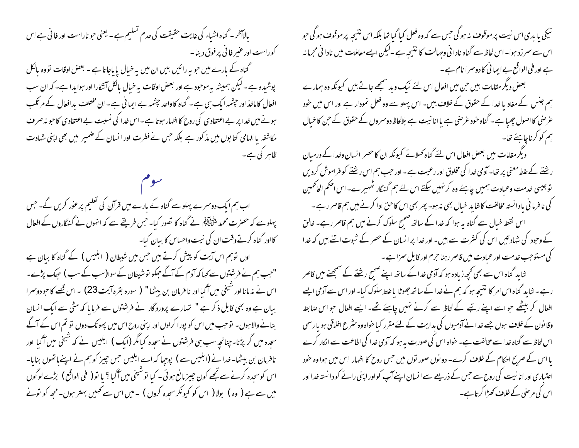بالاَآخر۔ گناہ اشیاء کی غایت حقیقت کی عدم تسلیم ہے۔ یعنی حبو نار است اور فا فی ہے اس کوراست اور عنبر فا<sup>ئ</sup>ی پر فوق دینا۔ گناہ کے بارے میں حبوبیہ رائیں بیں ان میں بیہ خیال پا باجاتا ہے - بعض اوقات تووہ بالکل پوشیدہ ہے ۔لیکن ہمیشہ بہ موحود ہے اور بعض اوقات بہ خیال بالکل آئیکارا اور ہوایدا ہے۔ کہ ان سب افعال کا ماخذ اور جیٹمیہ ایک ہی ہے ۔ گناہ کا واحد جیثیمہ بے ایما فی ہے ۔ ان مختلف بدافعال کے مرتکب ہونے میں خدا پر بے اعتقادی کی روح کا اظہار ہوتا ہے۔اس خدا کی نسبت بے اعتقادی کاحبو نہ صرف مکاشفہ یا الہامی کتابوں میں مذکور ہے بلکہ حس نے فطرت اور انسان کے ضمیر میں بھی اپنی شہادت ظاہر کی ہے۔

اب ہم ایک دوسمرے پہلو سے گناہ کے بارے میں قرآن کی تعلیم پر عور کریں گے۔ جس پہلوسے کہ حصرت محمد ملٹی ایک اسے گناہ کا تصور کیا۔ حس طریقے سے کہ انہوں نے گنہ گاروں کے افعال کااور گناہ کرتےوقت ان کی نیت واحساس کا بیان کیا۔ اول نوہم اس آیت کو پیش کرتے ہیں جس میں شیطان ( ابلیس ) کے گناہ کا بیان ہے "حب ہم نے فرشتوں سے کہا کہ آدم کے آگے حبکو توشیطان کے سوا(سب کے سب ) حبک پڑے۔ اس نے نہ مانا اور شیخی میں آگیااور نا فرمان بن بیٹھا" ( سورہ بقرہ آیت 23) ۔اس قصے کا حبو دوسمرا ببان ہے وہ بھی قابل ذکر ہے " تہارے پرورد گار نے فرشتوں سے فرمایا کہ مٹی سے ایک انسان بنانے والاہوں۔ تو حب میں اس کو پورا کرلوں اور اپنی روح اس میں پھونک دوں تو تم اس کے آگے سجدہ میں گر پڑنا۔چنانچہ سب ہی فرشتوں نے سجدہ کیامگر (ایک ) ابلیس نے کہ شیخی میں آگیا اور نافرمان بن ببیٹھا۔خدا نے (ابلیس سے ) پوچھا کہ اے ابلیس جس چیز کو ہم نے اپنےباتھوں بنایا۔ اس کوسحدہ کرنے سے تجھے کون چیپز مانع ہو ئی ۔ کیا توشیخی میں آگیا ؟ یا تو ( فمی الواقع ) بڑے لوگوں میں سے ہے ( وہ ) بولا ( اس کو کیونکر سحدہ کروں ) ۔میں اس سے ٹھیس بہتر ہوں۔مجھ کو نونے

نیکی یا بدی اس نیت پر موقوف نہ ہو گی جس سے کہ وہ فعل کیا گیا تھا بلکہ اس نتیجہ پر موقوف ہو گی حو اس سے سمر زد ہوا۔ اس لحاظ سے گناہ نادا فی وحہالت کا نتیجہ ہے ۔لیکن ایسے معاملات میں نادا فی مجرما نہ ہے اور فنی الواقع بے ایمانی کا دوسمرا نام ہے۔

بعض دیگر مقامات بیں حن میں افعال اس لئے نیک وید سمجھے جاتے ہیں کیونکہ وہ ہمارے ہم جنس کے مفاد یا خدا کے حقوق کے خلاف ہیں۔ اس پہلو سے وہ فعل نمودار ہے اور اس میں حود عرضی کا اصول چیپا ہے۔ گناہ حنود عرصی ہے یا انا نیت ہے بلالحاظ دوسمروں کے حقوق کے حن کا خیال ہم کو کرناچاہئے تھا۔

دیگر مقامات میں بعض افعال اس لئے گناہ کھلائے کیونکہ ان کا حصر انسان وخدا کے درمیان رشنتے کے علط معنی پر تھا۔ آدمی خدا کی مخلوق اور رعیت ہے ۔ اور حب ہم اس رشنتے کو فراموش کردیں توجیسی خدمت وعمادت ہمیں چاہئے وہ کرنہیں سکتے اس لئے ہم گنہگار ٹھہیرے۔اس اصحم الحاٹمین کی نافرما فی یا دانسته مخالفت کاشاید خیال بھی نہ ہو۔ پھر بھی اس کاحن ادا کرنے میں ہم قاصر رہے ۔ اس نقطہ خیال سے گناہ یہ ہوا کہ خدا کے ساتھ ضمیح سلوک کرنے میں ہم قاصر رہے۔ خالق کے وحبود کی شاد تیں اس کی کنثرت سے ہیں۔ اور خدا پر انسان کے حصر کے شبوت اتنے ہیں کہ خدا کی مستوحب خدمت اور عبادت میں قاصر رہنا حرم اور قابل سمراہے۔

شاید گناہ اس سے بھی کچھ زیادہ ہو کہ آدمی خدا کے ساتھ اپنے صبح رشنتے کے سمجھنے میں قاصر رہے۔ شاید گناہ اس امر کا نتیجہ ہو کہ ہم نے خدا کے ساتھ جھوٹا یا علط سلوک کیا۔ اور اس سے آدمی ایسے افعال کر بیٹھے حواسے اپنے رتبے کے لحاظ سے کرنے نہیں چاہئے تھے۔ ایسے افعال حواس صابطہ وقانون کے خلاف ہوں جسے خدا نے آدمیوں کی بدایت کے لئے مقرر کیا خواہ وہ سٹرع اخلاقی ہو یا رسمی اس لحاظ سے گناہ خدا سے مخالفت ہے۔ خواہ اس کی صورت یہ ہو کہ آدمی خدا کی اطاعت سے انکار کرے اعتیاری اور انا نبیت کی روح سے حبس کے ذریعے سے انسان اپنے آپ کو اور اپنی رائے کو دانستہ خدا اور اس کی مرصٰی کے خلاف کھڑ<sup>ا</sup> کرتا ہے۔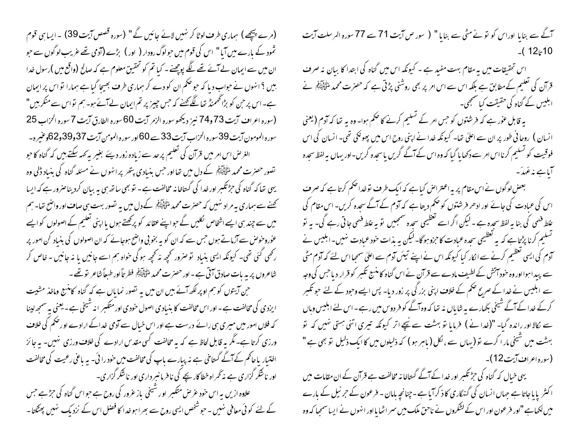(مرے پیچھے ) ہماری طرف لوٹا کر نہیں لائے جائیں گے " (سورہ قصص آیت 39) ۔ایسا ہی قوم ثمود کے بارے میں آیا" اس کی قوم میں حولوگ رودار ( اور ) بڑے (آدمی تھے عریب لوگوں سے حبو ان میں سے ایمان لے آئے تھے لگے پوچھنے - کیا تم کو تحقیق معلوم ہے کہ صالح (واقع میں )رسول خدا بیں ؟ انہوں نے حواب دیا کہ حوضکم ان کو دے کر ہماری طرف بھیجا گیا ہے ہمارا نو اس پر ایمان ہے۔اس پر حٖن کو بڑاتھھمنڈ تھا لگے تھنے کہ حٖس چیز پر تم ایمان لےآئے ہو۔ ہم نواس سے منکر ہیں" (سوره اعراف آيت 73 و74 نيز ديڪھوسوره الزمر آيت 60 سوره الطارق آيت 7 سوره الحزاب 25 سورہ المومون آیت 39 سورہ الحزاب آیت 33 سے 60 اور سورہ المومن آیت 37و30و62 گوغیرہ۔ الغرض اس امر میں قرآن کی تعلیم پر حد سے زیادہ زور دیئے بغیر بہ کہہ سکتے بیں کہ گناہ کا حبو تصور حصرت محمد سُتَّ اللَّهُ کے دل میں تھا اور حس بنیادی پتھر پر انہوں نے مسئلہ گناہ کی بنیاد ڈلی وہ یهی تعا که گناه کی حِرْثتکمبر اور خدا کی گستاخانه مخالفت ہے۔ تو بھی ساتھ ہی بہ بیان کردیناصرور ہے کہ ایسا کھنے سے ہماری بہ مراد نہیں کہ حصرت محمد اﷺ کے دل میں بہ تصور بہت ہی صاف اور واضح تعا۔ ہم میں سے چند ہی ایسے اشخاص لکلیں گے حبوا پسے عقائد کو پرکھتے ہوں یا اپنی تعلیم کے اصولوں کو ایسے عوٰروحوص سے آرُماتے ہوں جس سے کہ ان کو یہ بخو بی واضح ہوجائے کہ ان اصولوں کی بنیاد کن امور پر رکھی گئی تھی۔ کیونکہ ایسی بنباد تو صرور تحچیہ نہ تحچیہ ہوگی حواہ ہم اسے جانیں یا نہ جانیں - خاص کر شاعروں پر یہ بات صادق آتی ہے - اور حصر ت محمد سُنتَ اِیسِ اللہ عطر تاً اور طبعاً شاعر تو تھے ۔ حہن آپتوں کو ہم اوپر لکھ آئے ہیں ان میں یہ تصور نمایاں ہے کہ گناہ کامنسج وماخذ مشیت ایزدی کی مخالفت ہے ۔ اور اس مخالفت کا بنیادی اصول حودی اور متکسر انہ شیخی ہے ۔ یعنی بہ سمجھ لینا کہ فلاں امور میں میری ہی رائے درست ہے اور اس خیال سے آدمی خداکے ارادے او رضم کی خلاف ورزی کرتا ہے۔ مگر یہ قابل لحاظ ہے کہ یہ مخالفت کسی مقدس ارادے کی خلاف ورزی نہیں۔ یہ جائز اختیار پاحاکم کے آگے گستاخی ہے نہ پبارے باپ کی مخالفت میں خود را ئی۔ یہ باعی رعیت کی مخالفت اور ناشکر گزاری ہے نہ ٹھراہ خطا کار یچے کی نافرمانسرداری اور ناشکر گزاری۔ علاوہ ازیں ہہ اس حنود عرص متکسر اور شیخی باز عرور کی روح ہے حبواس گناہ کی حرِثے جس کے لئے کوئی معافی نہیں ۔ حبوشخص ایسی روح سے بھرا ہو خدا کا فصل اس کے نزد بک نہیں پھٹکتا ۔

آگے سے بنایا اوراس کو نونے مٹی سے بنایا " ( سور ص آیت 71 سے 77 سورہ الرسلت آیت  $(12:10$ 

اس تحقیقات میں یہ مقام بہت مفید ہے ۔ کیونکہ اس میں گناہ کی ابتدا کا بیان نہ صرف قرآن کی تعلیم کے مطابق ہے بلکہ اس سے اس امر پر بھی روشنی پڑتی ہے کہ حصرت محمد ملٹی ایک اُن کے ان کے ابلیس کے گناہ کی حقیقت کیا سمجھی۔

یہ قابل عوٰر ہے کہ فرشتوں کو جس امر کے تسلیم کرنے کا حکم ہوا۔ وہ یہ تھا کہ آدم (یعنی انسان ) روحا فی طور پر ان سے اعلیٰ تھا۔ کیونکہ خدا نے اپنی روح اس میں پھونکی تھی۔ انسان کی اس فوقیت کو تسلیم کرنااس امر سے دکھا ہا گیا کہ وہ اس کے آگے گریں یاسحدہ کریں-اور یہاں یہ لفظ سحدہ آباہے مذعَہدَ۔

بعض لوگوں نے اس مقام پر یہ اعتراض کیاہے کہ ایک طرف توخدا حکم کرتاہے کہ صرف اس کی عبادت کی جائے اور ادھر فرشتوں کو ضم دیتا ہے کہ آدم کے آگے سحدہ کریں۔ اس مقام کی علط فہمی کی بنا ہہ لفظ سجدہ ہے ۔لیکن اگراسے تعظیمی سجدہ سمجییں تو بہ علط فہمی جاتی رہے گی۔ یہ تو تسلیم کرنا پڑتاہے کہ یہ تعظیمی سحدہ عمادت کاحرو ہوگا۔لیکن یہ بذات خود عبادت نہیں۔ابلیس نے آدم کی ایسی تعظیم کرنے سے انکار کیا کیونکہ اس نے اپنے تیئں آدم سے اعلیٰ سمجلااس لئے کہ آدم مٹی سے پیدا ہوااور وہ حود آتش کے لطیف مادے سے قر آن نے اس گناہ کا منتج تکبر کو قرار دیا جس کی وجہ سے ابلیس نے خدا کے صرح حکم کے خلاف اپنی بزر گی پر زور دیا- پس ایسے وحبود کے لئے حبو تکبر کرکے خدا کے آئے شیخی بگھارے بہ شایاں نہ تھا کہ وہ آگے کو فر دوس میں رہے ۔اس لئے ابلیس وہاں سے نکالا اور راندہ گیا۔ "(خدا نے ) فرمایا تو بہشت سے نیچے اتر کیونکہ تیری اتنی ہستی نہیں کہ تو بہشت میں شیخی مار اکرے نو (پہاں سے ، لکل ( ماہر ہو ) کہ ذلیلوں میں کاایک ذلیل نو بھی ہے " (سورہ اعراف آیت 12)۔

یہی خیال کہ گناہ کی حِرْتکمبر اور خدا کے آگے گستاخا نہ مخالفت ہے قرآن کے ان مقامات میں اکثر پایاجاتا ہے جہاں انسان کی گنہگاری کا ذکر آیا ہے ۔چنانچہ بامان - فرعون کے حرنیل کے بارے میں لکھاہے "اور فرعون اور اس کے کشکروں نے ناحق ملک میں سمر اٹھایا اور انہوں نے ایسا سمجعا کہ وہ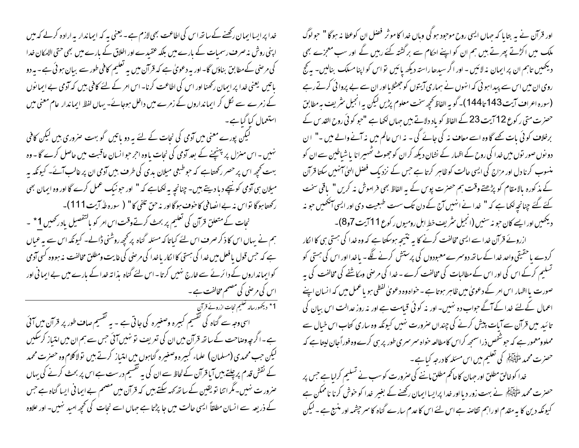خدا پر ایسا ایمان رکھنے کے ساتھ اس کی اطاعت بھی لازم ہے ۔ یعنی پہ کہ ایماندار پہ ارادہ کرلے کہ میں اپنی روش نہ صرف رسمیات کے بارے میں بلکہ عقیدے اور اخلاق کے بارے میں بھی حتی الامکان خدا کی مرصٰی کےمطابق بناؤں گا-اور بہ دعویٰ ہے کہ قرآن میں یہ تعلیم کافی طور سے بیان ہو ئی ہے۔ یہ دو باتیں یعنی خدا پر ایمان رکھنا اور اس کی اطاعت کرنا۔ اس امر کے لئے کافی بیں کہ آدمی بے ایمانوں کے زمرے سے لکل کر ایمانداروں کے زمرے میں داخل ہوجائے۔ یہاں لفظ ایماندار عام معنی میں استعمال کیا گیاہے۔

گیکن پورے معنی میں آدمی کی نجات کے لئے یہ دو باتیں گو بہت صروری ہیں لیکن کافی نہیں ۔ اس منزل پر پہنچنے کے بعد آدمی کی نجات یاوہ اجر حوانسان عاقبت میں حاصل کرے گا - وہ بہت کھچھ اس پر حصر رکھتاہے کہ حوطبعی میلان بدی کی طرف بیں آدمی ان پر غالب آئے۔ کیونکہ بہ میلان ہی آدمی کونیچے دیا دیتے ہیں۔ چنانچہ بہ لکھاہے کہ " اور حونیک عمل کرے گا اور وہ ایمان بھی ركھتاہوگا تواس نہ بے انصافی كا خوف ہوگااور نہ حق تلفی كا" ( سورہ طہ آیت 111)۔

نجات کے متعلق قرآن کی تعلیم پر بحث کرتےوقت اس امر کو بالتفصیل یادرٹھیں 1 \* ۔ ہم نے یہاں اس کا ذکر صرف اس لئے کیاتا کہ مسئلہ گناہ پر کچھ روشنی ڈالے۔ کیونکہ اس سے یہ عیاں ہے کہ حس قول یافعل میں خدا کی ہستی کاالکار یاخدا کی مرحنی کی غایت ومطلق مخالفت نہ ہووہ کسی آدمی کوایمانداروں کے دائرنے سے غارج نہیں کرتا۔اس لئے گناہ یذا تہ خدا کے بارے میں بے ایما فی اور اس کی مرصٰی کی مصنم مخالفت ہے ۔

1\* دیکھورسالہ تعلیم نجات ازرونے قرآنِ

اسی وجہ سے گناہ کی تقسیم کمبیرہ وصغیرہ کی جاتی ہے ۔ یہ تقسیم صاف طور پر قرآن میں آئی ہے۔اگر چہ وصاحت کے ساتھ قرآن میں ان کی تعریف نو نہیں آئی جس سے ہم ان میں امتیاز کرسکیں لیکن حب محمدی (مسلمان) علماء کبیره وصغیره گناہوں میں امتیاز کرتے ہیں تولاکلام وہ حصرت محمد کے نقش قدم پر چلتے ہیں آیا قرآن کے لحاظ سے ان کی یہ تقسیم درست ہے اس پر بحث کرنے کی یہاں عنرور ت نہیں۔مگر اتنا تو یقین کے ساتھ کہہ سکتے ہیں کہ قرآن میں مصمم بے ایما فی ایسا گناہ ہے جس کے ذریعہ سے انسان مطلقاً ایسی حالت میں جا پڑتا ہے جہاں اسے نجات کی کحچھ امید نہیں۔ اور علاوہ

اور قرآن نے بہ بتایا کہ حہاں ایسی روح موحود ہو گی وہاں خدا کا موثر فصل ان کوعطا نہ ہوگا " حولوگ ملک میں اکڑتے پھرتے ہیں ہم ان کو اپنے احکام سے برگشتہ کئے رہیں گے اور سب معجزے بھی دیکھیں تاہم ان پر ایمان نہ لائیں - اور اگر سیدھاراستہ دیکھ پائیں تو اس کو اپنامسلک بنالیں- یہ گج روی ان میں اس سے پیدا ہو ئی کہ انہوں نے ہماری آیتوں کو جھٹلایا اور ان سے بے پروائی کرتے رہے (سورہ اعراف آیت 143 تا 144)۔ گو بہ الفاظ کھچھ سخت معلوم پڑیں لیکن بہ انجیل سٹریف بہ مطابق حصرت متی رکوع 12 آیت 23 کے الفاظ کو باد دلاتے ہیں جہاں لکھا ہے "حبو کو ٹی روح القد س کے برخلاف کوئی بات کھے گا وہ اسے معاف نہ کی جائے گی ۔ نہ اس عالم میں نہ آنے والے میں ۔" ان دو نوں صور توں میں خدا کی روح کے اظہار کے نشان دیکھ کران کو جھوٹ ٹھہیرانا پاشیاطین سے ان کو منسوب کرنا دل اور مزاج کی ایسی حالت کوظاہر کرتا ہے جس کے نزد یک فصل الہیٰ آنہٰیں سکتا قرآن کے مذکورہ بالامقام کو پڑھتے وقت ہم حصرت پوس کے بہ الفاظ بھی فراموش نہ کریں " یاقی سخت کئے گئے چنانچہ لکھاہے کہ " خدا نے انہیں آج کے دن تک ست طبعیت دی اور ایسی آنکھیں حوینہ دیکھیں اور ایسے کان حبوبہ سنیں (انجیل سٹریف خط اہل رومیوں رکوع 11 آیت 6,7)۔

ازروئے قرآن خدا سے ایسی مخالفت کرنے کا بہ نتیجہ ہوسکتا ہے کہ وہ خدا کی ہستی ہی کا انکار کردے یا حقیقی واحد خدا کے ساتھ دوسرے معبودوں کی پرستش کرنے لگے۔ باغدااور اس کی ہستی کو تسلیم کرکے اس کی اور اس کے مطالبات کی مخالفت کرے ۔ خدا کی مرضی ومکاشفے کی مخالفت کی ہہ صورت یا اظہار اس امر کے دعویٰ میں ظاہر ہوتا ہے ۔ خواہ وہ دعویٰ لفظی ہو یا عمل میں کہ ا نسان اپنے اعمال کےلئے خدا کے آگے حواب دہ نہیں۔ اور نہ کوئی قیامت ہے اور نہ روز عدالت اس بیان کی تائید میں قرآن سے آبات پیش کرنے کی چنداں صرورت نہیں کیونکہ وہ ساری کتاب اس خیال سے مملوومعمور ہے کہ حبوشخص ذراسمجھ کراس کامطالعہ حواہ سمرسمری طور پر ہی کرے وہ فوراً جان لیتا ہے کہ حصرت محمد ملتَّ البَيِّنَ كي تعليم ميں اس مسئلہ كا درجہ كيا ہے ۔

خدا کوخالق مطلق اور جہان کا حاکم مطلق ماننے کی صرورت کوسب نے تسلیم کرلیاہے جس پر حصرت محمد ملطَّيْلِيَّهُمْ نے بہت زور دیا اور خدا پرایسا ایمان رکھنے کے بغیر پھدا کو حوش کرنا ناممکن ہے کیونکہ دین کا یہ مقدم اوراہم تقاصر ہے اس لئے اس کا عدم سارے گناہ کا سر حیثمہ اور منبع ہے ۔ لیکن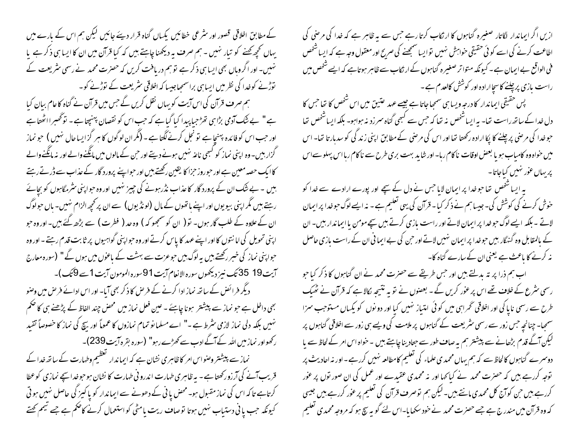ازیں اگر ایماندار لگاتار صغیرہ گناہوں کا ارثکاب کرتا رہے جس سے یہ ظاہر ہے کہ خدا کی مرحنی کی اطاعت کرنے کی اسے کوئی حقیقی حواہش نہیں توایسا سمجھنے کی صریح اور معقول وجہ ہے کہ ایسا شخص فی الواقع بے ایمان ہے۔ کیونکہ متواتر صغیرہ گناہوں کے ارتکاب سے ظاہر ہوتاہے کہ ایسے شخص میں راست بازی پرچلنے کاسچاارادہ اور کوشش کالعدم ہے ۔

پس حقیقی ایماندار کا درجہ ویسا ہی سمجیا جاتا ہے جیسے عہد عتین میں اس شخص کا تھا جس کا دل خدا کے ساتھ راست تھا۔ بہ ایساشخص نہ تھا کہ جس سے کبھی گناہ سمرزد نہ ہواہو۔ بلکہ ایساشخص تھا حبوخدا کی مرصٰی پر چلنے کا پکا ارادہ رکھتا تھا اور اس کی مرصٰی کے مطابق اپنی زند گی کو سدبار تا تھا۔ اس میں حواہ وہ کامیاب ہو یا بعض اوقات ناکام رہا۔اور شاید بہت بری طرح سے ناکام رہا اس پہلو سےاس پریہاں عور نہیں کیاجاتا۔

یہ ایسا شخص تھا حوخدا پر ایمان لایا حس نے دل کے سچے اور پورے ارادے سے خدا کو حوش کرنے کی کوشش کی۔جیسا ہم نے ذکر کیا۔قرآن کی یہی تعلیم ہے۔ نہ ایسے لوگ حبوخدا پر ایمان لاتے ۔ بلکہ ایسے لوگ حبوخدا پر ایمان لاتے اور راست بازی کرتے ہیں سچے مومن یا ایماندار بیں۔ ان کے بالمقابل وہ گنہگار ہیں حبوخدا پر ایمان نہیں لاتے اور حمن کی بے ایما فی ان کے راست بازی حاصل نہ کرنے کا باعث ہے یعنی ان کے سارے گناہ کا۔

اب ہم ذرا پر تہ بدلتے ہیں اور حس طریقے سے حصرت محمد نے ان گناہوں کا ذکر کیا حو رسمی سٹرع کے خلاف تھے اس پر عور کریں گے ۔ بعضوں نے نو یہ نتیجہ لکالا ہے کہ قرآن نے ٹھیک طرح سے رسمی ناپا کی اور اخلاقی ٹھراہی میں کوئی امتیاز نہیں کیا اور دونوں کو یکساں مستوجب سزا سمحھا۔ چنانچہ جس زور سے رسمی سٹریعت کے گناہوں پر ملامت کی ویسے ہی زور سے اخلاقی گناہوں پر لیکن آگے قدم بڑھانے سے پیشتر ہم یہ صاف طور سے جتاد بنا چاہتے ہیں ۔ حواہ اس امر کے لحاظ سے یا ۔ دوسمرے گناہوں کالحاظ سے کہ ہم یہاں محمد ی علماء کی تعلیم کامطالعہ نہیں کررہے۔ اور نہ احادیث پر توجہ کررہے ہیں کہ حصرت محمد نے کیاکھا اور نہ محمدی عقیدے اور عمل کی ان صور توں پر عور کررہے ہیں حن کوآج کل محمدی مانتے ہیں۔لیکن ہم توصرف قرآن کی تعلیم پر عور کررہے ہیں جیسی کہ وہ قرآن میں مندرج ہے جسے حصرت محمد نے خود سکھا ما-اس لئے گو بہ سچ ہو کہ مروجہ محمدی تعلیم

کے مطابق اخلاقی قصور اور سثر عی خطائیں پکساں گناہ قرار دیئے جائیں لیکن ہم اس کے بارے میں یہاں تحچھ کھنے کو تیار نہیں - ہم صرف یہ دیکھنا چاہتے ہیں کہ کیا قرآن میں ان کا ایسا ہی ذکر ہے یا نہیں۔ اور اگر وباں بھی ایسا ہی ذکر ہے تو ہم دریافت کریں کہ حصرت محمد نے رسمی سٹریعت کے توڑنے کوخدا کی نظر میں ایسا ہی براسمحیاجیسا کہ اخلاقی سٹریعت کے توڑنے کو۔ ہم صرف قرآن کی اس آیت کو پہاں نقل کریں گے جس میں قرآن نے گناہ کاعام بیان کیا ہے " بے ننگ آدمی بڑاہی تھڑ حبا پیدا کیا گیاہے کہ حب اس کو نقصان پہنچتاہے۔ تو گھبراالحیتاہے اور حب اس کو فائدہ پہنچا ہے تو نجل کرنے کگتا ہے ۔ (مگر ان لوگوں کا ہر گزایسا حال نہیں ) حبو نماز گزار بیں۔وہ اپنی نماز کو کسجی ناعہ نہیں ہونے دیتے اور حن کے مالوں میں مانگنےوالے اور نہ مانگنےوالے کا ایک حصہ معین ہے اور حوروز حزا کا یقین رکھتے ہیں اور حواپنے پرورد گار کے عذاب سے ڈر تے رہتے بیں ۔ بے شک ان کے پرورد گار کاعذاب نڈر ہونے کی چیز نہیں اور وہ حواپنی سٹرمگاہوں کو بچائے رہتے ہیں مگر اپنی بیویوں اور اپنے باتھوں کے مال (لونڈیوں) سے ان پر کحچھ الزام نہیں۔ پاں حولوگ ان کے علاوہ کے طلب گار ہوں۔ تو( ان کو سمجھو کہ ) وہ حد ( فطرت ) سے بڑھ گئے ہیں۔اور وہ حبو اپنی تحویل کی اما نتوں کا اور اپنے عہد کا پاس کرتے اور وہ حوابنی گواہیوں پر ثابت قدم رہتے ۔ اور وہ حواپنی نماز کی خسر رکھتے ہیں یہ لوگ ہیں حوعزت سے بہشت کے ماعوں میں ہوں گے " (سورہ معارج سيت19 35 <del>تک نيز دي</del>حصوں سورہ الانعام آيت 91سورہ المومون آيت 1 سے 9 تک)۔ دیگر فرائض کے ساتھ نماز ادا کرنے کے فرص کا ذکر بھی آیا۔ اور اس ادائے فرص میں وصنو بھی داخل ہے حو نماز سے پیشتر ہونا چاہئے ۔عین فعل نماز میں محص چند الفاظ کے پڑھنے ہی کا صحم نہیں بلکہ دلی نماز لازمی سثرط ہے -" اے مسلما نو تمام نمازوں کا عموماً اور بیچ کی نماز کا خصوصاً تقید رکھواور نماز میں اللہ کے آگے ادب سے کھڑے رہو" (سورہ بقرہ آیت239)۔ نماز سے پیشنتر وصنواس امر کاظاہری نشان ہے کہ ایماندار گعظیم وطہارت کے ساتھ خدا کے

قریب آنے کی آرزورکھتا ہے - یہ ظاہری طہارت اندرو نی طہارت کا نشان ہوجوخداسیے نمازی کوعطا کرتاہے تاکہ اس کی نماز مقبول ہو۔ محض یا فی کے دھونے سے ایماندار کو یا کیز گی حاصل نہیں ہو تی کیونکہ جب یا ٹی دستیاب نہیں ہوتا توصاف ریت یامٹی کواستعمال کرنے کاضکم ہے جے تیمم کھتے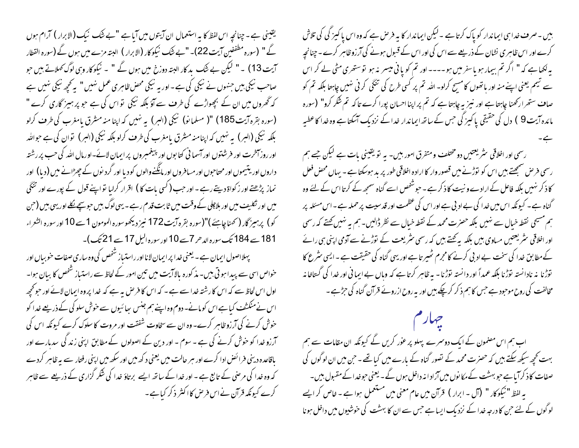یقینی ہے۔چنانچہ اس لفظ کا یہ استعمال ان آیتوں میں آیا ہے "بے شک نیک (الابرار) آرام ہوں گے " (سورہ مطففین آیت 22)۔ "بے ننگ نیکوکار (الابرار ) البتہ مزے میں ہوں گے (سورہ القطار آیت 13) ۔" لیکن بے شَک بد کار البتہ دوزخ میں ہوں گے " ۔ نیکو کار وہی لوگ کھلاتے ہیں حبو صاحب نیکی بیں جنہوں نے نیکی کی ہے۔اور یہ نیکی محض ظاہری عمل نہیں " یہ تحچھ نیکی نہیں ہے کہ گھروں میں ان کے بچھواڑے کی طرف سے آؤ بلکہ نیکی تو اس کی ہے جو پر ہمیز گاری کرے " (سورہ بقرہ آیت 185) "( مسلمانو) نیکی (البر) بہ نہیں کہ اپنا منہ مشرق بامغرب کی طرف کرلو بلکہ نیکی (السر) یہ نہیں کہ اپنامنہ مشرق یامغرب کی طرف کرلو بلکہ نیکی (السر) توان کی ہے حواللہ اور روز آخرت اور فرشتوں اور آسما فی کتابوں اور پیغمبروں پر ایمان لائے۔او رمال اللہ کی حب پر رشتہ داروں اور یتیموں اور محتاحوں اور مسافروں اور مانگنےوالوں کو دیا اور گرد نوں کے چھڑانے میں (دیا) اور نماز پڑھتے اور زکواۃ دیتے رہے ۔ اور حب ( کسی بات کا ) اقرار کرایا تو اپنے قول کے پورے اور تنگی میں اور تکلیف میں اور بلاچلی کے وقت میں ثابت قدم رہے ۔ یہی لوگ بیں حبوس<u>چہ نک</u>لے اور یہی بیں (ح<sub>ب</sub>ں كو) پر ہيز گار ( كھناچاہئے )"(سورہ بقرہ آيت 172 نيز ديكھوسورہ المومون 1 سے 10 اور سورہ الشعراء 181 سے 184 تک سورہ الدحر 7سے 10 اور سورہ الیل 17 سے 21 تک)۔

پہلااصول ایمان ہے۔ یعنی غدا پر ایمان لانا اور راستیاز شخص کی وہ ساری صفات حو بیاں اور خواص اسی سے پیدا ہو تی بیں۔ مذ کورہ بالا آیت میں تین امور کے لحاظ سے راستیاز شخص کا بیان ہوا۔ اول اس لحاظ سے کہ اس کا رشتہ خدا سے ہے ۔ کہ اس کا فرص بہ ہے کہ خدا پر وہ ایمان لائے اور حو تحیمہ اس نے منکشف کیا ہے اس کو مانے۔ دوم وہ اپنے ہم جنس سائیوں سے حوش سلو کی کے ذریعے خدا کو خوش کرنے کی آرزو ظاہر کرے۔ وہ ان سے سخاوت شفقت اور مروت کا سلوک کرے کیونکہ اس کی آرزو خدا کو حوش کرنے کی ہے ۔ سوم ۔ اور دین کے اصولوں کے مطابق اپنی زند کی سدبارے اور باقاعدہ دینی فرائض ادا کرے اور ہر حالت میں یعنی د کھ میں اور سکھ میں اپنی رفتار سے بہ ظاہر کردے کہ وہ خدا کی مرحنی کے تابع ہے ۔ اور خدا کے ساتھ ایسے برتاؤ خدا کی شکر گزاری کے ذریعے سے ظاہر کرے کیونکہ قرآن نےاس فرص کااکثر ذکر کیاہے۔

بیں ۔صرف خدا ہی ایماندار کو پاک کرتا ہے ۔لیکن ایماندار کا یہ فرص ہے کہ وہ اس پا کمیز کی کی تلاش کرے اور اس ظاہر ی نشان کے ذریعے سے اس کی اور اس کے قسول ہونے کی آرزوظاہر کرے ۔ چنانچہ یہ لکھاہے کہ " اگر تم بیمار ہو پاسفر میں ہو۔۔۔۔ اور تم کو یا فی میسر بنہ ہو توستھری مٹی لے کر اس سے شیم یعنی اپنے منہ اور باتھوں کا مسح کرلو۔ اللہ تم پر کسی طرح کی تنگی کر ٹی نہیں جاہتا بلکہ تم کو صاف ستھرارکھنا چاہتاہے اور نیز یہ چاہتاہے کہ تم پر اپنااحسان پورا کرے تاکہ تم شکر کرو" (سورہ مائدہ آیت 9 ) دل کی حقیقی پاکیز گی جس کے ساتھ ایماندار غدا کے نزد بک آسکتا ہے وہ غدا کاعطیہ

رسمی اور اخلاقی سٹریعتیں دو مختلف ومتفرق امور ہیں۔ یہ تو یقینی بات ہے لیکن جے ہم رسمی فر ص سمجھتے ہیں اس کو توڑنے میں قصور وار کا ارادہ اخلاقی طور پر بد ہوسکتا ہے ۔ یہاں محض فعل کا ذکر نہیں بلکہ فاعل کے ارادے و نیت کا ذکر ہے ۔ حبوشَّحص اسے گناہ سمجھ کے کرتا اس کے لئے وہ گناہ ہے۔ کیونکہ اس میں خدا کی بے اد بی ہے اور اس کی عظمت اور قدسیت پر حملہ ہے۔ اس مسئلہ پر ہم مسیحی نقطہ خبال سے نہیں بلکہ حصرت محمد کے نقطہ خبال سے نظر ڈالیں۔ہم یہ نہیں کھتے کہ رسمی اور اخلاقی سٹریعتیں مساوی ہیں بلکہ یہ کچتے ہیں کہ رسمی سٹریعت کے توڑنے سے آدمی اپنی ہی رائے کے مطابق خدا کی سخت بے ادبی کرنے کا مجرم شٰھیر تاہے اور یہی گناہ کی حقیقت ہے ۔ایسی سٹرع کا توڑنا پہ نادانستہ توڑنا بلکہ عمداً اور دانستہ توڑنا - بہ ظاہر کرتا ہے کہ وہاں بے ایما فی اور غدا کی گستاخا نہ مخالفت کی روح موحود ہے حس کا ہم ذکر کرچکے ہیں اور یہ روح ازروئے قرآن گناہ کی حزمیے ۔

اب ہم اس مصنمون کے ایک دوسمرے پہلو پر عور کریں گے کیونکہ ان مقامات سے ہم بہت کچھ سیکھ سکتے ہیں کہ حصرت محمد کے تصور گناہ کے بارے میں کیا تھے ۔ حن میں ان لوگوں کی صفات کا ذکر آیاہے حبو بہشت کے مکانوں میں آزاد انہ داخل ہوں گے۔ یعنی حبوخدا کے مقبول بیں۔ یہ لفظ " نیکوکار " (آل - ابرار ) قرآن میں عام معنی میں مستعمل ہوا ہے ۔ خاص کر ایسے لوگوں کے لئے حبن کا درجہ خدا کے نزدیک ایسا ہے حس سے ان کا بہشت کی خوشیوں میں داخل ہونا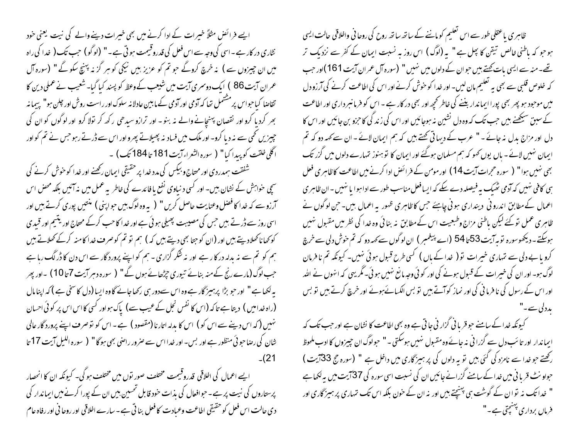ایے فرائض مثلاً خیرات کے ادا کرنے میں بھی خیرات دینے والے کی نیت یعنی خود نثاری در کار ہے ۔اسی کی وجہ سے اس فعل کی قدروقیمت ہو تی ہے ۔" (لوگو) جب تک ( خدا کی راہ میں ان چیزوں سے ) نہ خرچ کروگے حو تم کو عزیز بیں نیکی کو ہر گز نہ پہنچ سکو گے " (سورہ آل عمران آیت 86 ) ایک دوسمری آیت میں شیعب کے وعظ کو پسند کیا گیا۔ شعیب نے عملی دین کا تقاصا کیاحواس پر مشتمل تھا کہ آدمی اور آدمی کے مابین عادلانہ سلوک اور راست روش اور چلن ہو" پہیا نہ بھر کرد ما کرو اور نقصان پہنچانے والے نہ بنو - اور ترازو سبدھی رکھ کر تولا کرو اور لوگوں کو ان کی چییزیں کھی سے نہ دیا کرو۔ اور ملک میں فساد نہ بھیلاتے پھرواور اس سے ڈرتے رہو جس نے تم کواور اگلی خلقت کو پیدا کیا" ( سورہ الشعراء آیت 181 تا 184 تک) ۔

شفقت ہمدردی اور محتاج و بیکس کی مدد خدا پر حقیقی ایمان رکھنے اور خدا کو خوش کرنے کی سچی حواہش کے نشان بیں۔ اور کسی د نیاوی نفع یا فائدے کی خاطر پہ عمل میں بنہ آئیں بلکہ محض اس آرزوسے کہ خدا کا فضل وعنایت حاصل کریں "( بہ وہ لوگ ہیں حوابنی ) منتیں پوری کرتے ہیں اور اسی روز سے ڈر تے ہیں جس کی مصیبت پھیلی ہوئی ہے اور خدا کا حب کرکے محتاج اور یتیم اور قبیدی کو کھاناکھلادیتے ہیں اور (ان کو جتا بھی دیتے ہیں کہ ) ہم تو تم کوصرف خدا کامنہ کرکے کھلاتے ہیں ہم کو تم سے نہ بدلہ در کار ہے اور نہ شکر گزاری - ہم کو اپنے پرورد گار سے اس دن کا ڈرگک رہا ہے جب لوگ (مارے رنج کے منہ بنائے تیوری جڑھائے ہوں گے " ( سورہ دہر آیت 7تا 10 ) ۔اور پھر یہ لکھا ہے " اور حبو بڑا پرہسیز گار ہے وہ اس سےدور ہی رکھاجائے گاوہ ایسا (دل کا سخی ہے ) کہ اپنا مال (راہ خدامیں ) دیتا ہے تاکہ (اس کا نفس نجل کے عیب سے) پاک ہواور کسی کااس اس پر کوئی احسان نہیں (کہ اس دینے سے اس کو ) اس کا بدلہ اتارنا (مقصود ) ہے۔ اس کو توصر ف اپنے پرورد گار عالی شان کی رضاحوئی منظور ہے اور بس- اور خدا اس سے صرور راصی بھی ہوگا" ( سورہ اللیل آیت 17 تا 21)۔

ایسے اعمال کی اخلاقی قدروقیمت مختلف صور توں میں مختلف ہوگی۔ کیونکہ ان کا انحصار پرستاروں کی نہت پر ہے ۔حوافعال کی بذات حود قابل تحسین بیں ان کے پورا کرنے میں ایماندار کی دی حالت اس فعل کو حقیقی اطاعت وعبادت کا فعل بنا تی ہے۔ سارے اخلاقی اور روحا فی اور رفاہ عام

ظاہری یاعقلی طور سے اس تعلیم کو ماننے کے ساتھ ساتھ روح کی روحا فی واخلاقی حالت ایسی ہوجو کہ باطنی خالص تیقن کا پھل ہے " یہ (لوگ ) اس روز یہ نسبت ایمان کے کفر سے نزدیک تر تھے۔منہ سے ایسی بات کھتے ہیں حبوان کے دلوں میں نہیں " (سورہ آل عمران آیت 161)اور حب کہ خلوص قلبی سے بھی یہ تعلیم مان لیں۔ اور خدا کو خوش کرنے اور اس کی اطاعت کرنے کی آرزو دل میں موجود ہو پھر بھی پورا ایماندار بننے کی خاطر تحچھ اور بھی در کار ہے ۔ اس کو فرمانسرداری اور اطاعت کے سبق سیکھنے ہیں جب تک کہ وہ دل نشین نہ ہوجائیں اور اس کی زند گی کا حزو بن جائیں اور اس کا دل اور مزاج بدل نہ جائے ۔ " عرب کے دیہا تی تھتے ہیں کہ ہم ایمان لائے ۔ ان سے کہہ دو کہ تم ایمان نہیں لائے - باں یوں کھو کہ ہم مسلمان ہوگئے اور ایمان کا تو ہنوز تہارے دلوں میں گزر تک بھی نہیں ہوا" ( سورہ حجرات آیت 14) اور مومن کے فرائض ادا کرنے میں اطاعت کاظاہری فعل ہی کافی نہیں کہ آدمی ٹھیک بہ فیصلہ دے سکے کہ ایسافعل مناسب طور سے اداہوا یا نہیں ۔ ان ظاہر ی اعمال کےمطابق اندرو فی دینداری ہو فی چاہئے جس کا ظاہری ظہور بہ اعمال بیں۔حن لو گوں نے ظاہری عمل تو کئے لیکن پاطنی مزاج وطبعیت اس کے مطابق بنہ بنائی وہ خدا کی نظر میں مقبول نہیں ہوسکتے۔دیکھوسورہ توبہ آیت53 تا 54 (اے پیغمبر ) ان لوگوں سے کہہ دو کہ تم حوش دلی سے خرچ کرو یا بے دلی سے تہاری خیبرات تو ( غدا کے باں ) کسی طرح قبول ہو ئی نہیں۔ کیونکہ تم نا فرمان لوگ ہو۔ اور ان کی خبیرات کے قبول ہونے کی اور کوئی وجہ مانع نہیں ہوئی۔گگریہی کہ انہوں نے اللہ اور اس کے رسول کی نا فرما فی کی اور نماز کوآتے ہیں تو بس الکسائےہوئے اور خرچ کرتے ہیں تو بس یدد کی سے

کیونکہ خدا کے سامنے حوقر یا ٹی گزار ٹی جا تی ہے وہ بھی اطاعت کا نشان ہے اور حب تک کہ ایماندار اور تائب دل سے گزرا فی نہ جائے وہ مقبول نہیں ہوسکتی ۔" حبولوگ ان چیزوں کا ادب ملحوظ رکھتے جو خدا سے نامزد کی گئی بیں تو یہ دلوں کی پر ہمیز گاری میں داخل ہے " (سورہ حج 33آیت ) حواو نٹ قربا فی میں خدا کے سامنے گزرانے جائیں ان کی نسبت اسی سورہ کی 37آیت میں یہ لکھاہے " غدا تک نہ تو ان کے گوشت ہی پہنیجتے ہیں اور نہ ان کے حون بلکہ اس تک تہاری پر ہیپز گاری اور فرماں برداری پہنچتی ہے۔"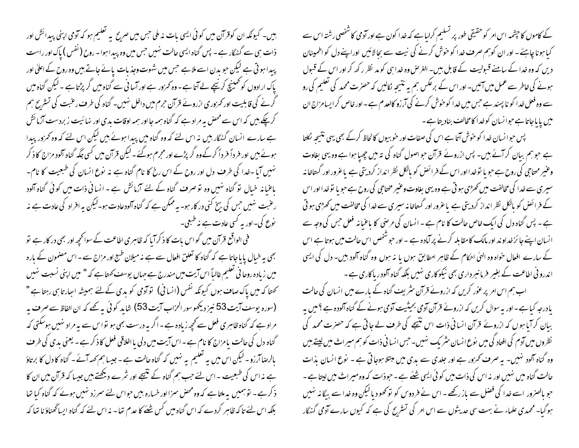کے کاموں کا جیٹمہ اس امر کو حقیقی طور پر تسلیم کرلیاہے کہ خدا کون ہے اور آدمی کاشخصی رشتہ اس سے کیا ہونا چاہئے ۔ اور ان کوہم صرف غدا کو خوش کرنے کی نیت سے بحالائیں اوراپنے دل کواظمینان دیں کہ وہ خدا کے سامنے قبولیت کے قابل ہیں۔ الغرض وہ خدا ہی کو مد نظر رکھ کر اور اس کے قبول ہونے کی خاطر سے عمل میں آئیں۔ اور اس کے برعکس ہم یہ نتیجہ نکالیں کہ حصرت محمد کی تعلیم کی رو سے وہ فعل خدا کو نا پسند ہے جس میں خدا کوخوش کرنے کی آرزو کالعدم ہے - اور خاص کر ایسامزاج ان میں پایاجاتا ہے حبوا نسان کوخدا کامخالف بنادیتا ہے۔

پس حبوانسان خدا کو حنوش آتا ہے اس کی صفات اور حنو بیوں کالحاظ کرکے بھی یہی نتیجہ لکلتا ہے حبو ہم بیان کر آئے ہیں۔ پس ازروئے قرآن حبو اصول گناہ کی تہ میں چھپا ہوا ہے وہ یہی بغاوت وعنیر مساحی کی روح ہے حبو یا توخدااور اس کے فرائض کو بالکل نظر انداز کردیتی ہے یاعرور اور گستاخانہ سپری سے خدا کی مخالفت میں کھڑی ہو تی ہے وہ یہی بغاوت وعنیر مختاجی کی روح ہے حبو یا توخدا اور اس کے فرائض کو پالکل نظر انداز کردیتی ہے یا عرور اور گستاخا نہ سیری سے خدا کی مخالفت میں کھڑی ہو تی ہے ۔ پس گناہ دل کی ایک خاص حالت کا نام ہے ۔ انسان کی مرضی کا باعنیانہ فعل حس کی وجہ سے انسان اپنے جائز خداو ند اور مالک کامقابلہ کرنے پر آمادہ ہے ۔اور حبوشخص اس حالت میں ہوتا ہے اس کے سارے افعال حنواہ وہ الهیٰ احکام کے ظاہرِ امطابق ہوں یا نہ ہوں وہ گناہ آلود بیں۔ دل کی ایسی اندرو فی اطاعت کے بغیر فرمانسر داری بھی نیکوکاری نہیں بلکہ گناہ آلودر پاکاری ہے ۔

اب ہم اس امر پر عور کریں کہ ازرونے قرآن سٹریف گناہ کے بارے میں انسان کی حالت یا درجہ کیا ہے - اور یہ سوال کریں کہ ازرونے قرآن آدمی بحیثیت آدمی ہونے کے گناہ آلودہ ہے ؟ میں یہ ببان کرآیا ہوں کہ ازرونے قرآن انسانی ذات اس نتیجے کی طرف لے جاتی ہے کہ حصرت محمد کی نظروں میں آدم کی افتاد گی میں نوع انسان سٹر یک نہیں۔حس انسانی ذات کو ہم میراث میں اپنے ہیں وہ گناہ آلود تہیں۔ یہ صرف تحرور ہے اور جلدی سے بدی میں مبتلا ہوجاتی ہے ۔ نوع انسان بذات حالت گناہ میں نہیں اور نہ اس کی ذات میں کو ٹی ایسی شئے ہے ۔حبوذات کہ وہ میراث میں لیتا ہے ۔ ہوگیا۔ محمدی علماء نے بہت سی حدیثوں سے اس امر کی تشریح کی ہے کہ کیوں سارے آدمی گنہگار

بیں۔ کیونکہ ان کوقرآن میں کوئی ایسی بات نہ ملی حس میں صریح پہ تعلیم ہو کہ آدمی اپنی پیدائش اور ذات ہی سے گنہگار ہے ۔ پس گناہ ایسی حالت نہیں جس میں وہ پیدا ہوا ۔ روح ( نفس ) پاک اور راست پیدا ہو تی ہے لیکن حبو یدن اسے ملاہے حس میں شہوت وجذبات پائے جاتے بیں وہ روح کے اعلیٰ اور یاک ارادوں کو تھینیج کرنیچے لے آتا ہے ۔ وہ کمزور ہے اور آسا فی سے گناہ میں گر پڑتا ہے ۔لیکن گناہ میں گرنے کی قابلیت اور تھر دوری ازرونے قرآن حرم میں داخل نہیں۔ گناہ کی طرف رعنبت کی تشریح ہم کرچکے ہیں کہ اس سے محصٰ بہ مراد ہے کہ گناہ ہمہ جا اور ہمہ اوقات بدی اور نہائیت زبردست آزمائش ہے سارے انسان گنہگار بیں نہ اس لئے کہ وہ گناہ میں پیدا ہوئے بیں لیکن اس لئے کہ وہ کحمزور پیدا ہوئے بیں اور فر داً فر داً کرکےوہ گر پڑے اور مجرم ہوگئے۔لیکن قرآن میں کسی جگہ گناہ آلود مزاج کا ذکر نہیں آیا ۔خدا کی طرف دل اور روح کے اس رخ کا نام گناہ ہے نہ نوع انسان کی طبعیت کا نام۔ باعنانہ خیال تو گناہ نہیں وہ تو صرف گناہ کے لئے آزمائش ہے ۔ انسانی ذات میں کوئی گناہ آلود رعنبت نہیں جس کی بیخ کنی در کار ہو۔ یہ ممکن ہے کہ گناہ آلودعادت ہو۔لیکن بہ افراد کی عادت ہے نہ ِ نوع کی۔ اور یہ <sup>کس</sup>ی عادت ہے نہ <sup>طب</sup>عی۔

فی الواقع قرآن میں گواس بات کا ذکرآبا کہ ظاہری اطاعت کے سوانحچھ اور بھی در کار ہے تو بھی بہ خیال پا باجاتا ہے کہ گناہ کا تعلق افعال سے ہے نہ میلان طبع اور مزاج سے ۔ اس مصنمون کے بارہ میں زیادہ روحا فی تعلیم غالباً اس آیت میں مندرج ہے جہاں یوسف کھتا ہے کہ " میں اپنی نسبت نہیں کھتا کہ میں پاک صاف ہوں کیونکہ نفس (انسانی) توآدمی کو بدی کےلئے ہمیشہ اسارتا ہی رہتا ہے " (سورہ یوسف آیت 53 نیز دیکھوسور الحزاب آیت 53) شاید کوئی یہ کھے کہ ان الفاظ سے صرف یہ مراد ہے کہ گناہ ظاہری فعل سے کچھ زیادہ ہے ۔اگر یہ درست بھی ہو تواس سے یہ مراد نہیں ہوسکتی کہ گناہ دل کی حالت یا مزاج کا نام ہے ۔اس آیت میں دلی یا اخلاقی فعل کا ذکر ہے ۔ یعنی بدی کی طرف بالرضا آرزو - لیکن اس میں بہ تعلیم بہ نہیں کہ گناہ حالت ہے - جیسا ہم کھہ آئے - گناہ کا دل کا برتاؤ ہے نہ اس کی طبعیت ۔اس لئے جب ہم گناہ کے نتیجے اور شرے دیکھتے ہیں جیسا کہ قرآن میں ان کا ذکر ہے۔ توہمیں بہ ملتا ہے کہ وہ محض سمزااور خسارہ بیں حواس لئے سمرزد نہیں ہوئے کہ گناہ کیا تھا بلکہ اس لئے تا کہ ظاہر کردے کہ اس گناہ میں کس شئے کا عدم تھا۔ نہ اس لئے کہ گناہ ایساٹھناؤ نا تھا کہ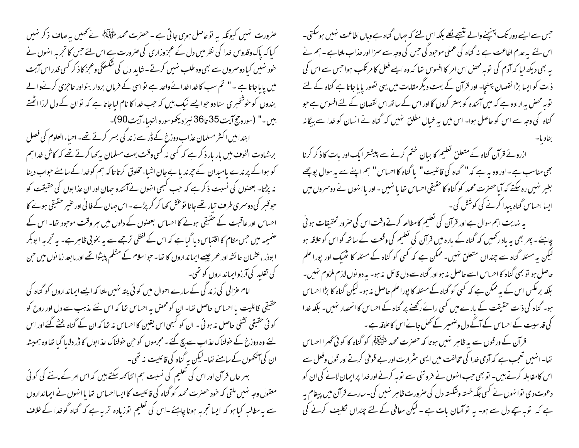عنرورت نہیں کیونکہ یہ توحاصل ہوہی جاتی ہے ۔ حصرت محمد لتَّ اَلِیَّتِہُمْ نے تھمیں یہ صاف ذکر نہیں کیا کہ پاک وقدوس خدا کی نظر میں دل کے عمجزوزاری کی صرورت ہے اس لئے حس کا تجربہ انہوں نے خود ښیں کیا دوسروں سے بھی وہ طلب ښیں کرتے - شاید دل کی شکسٹگی وعجز کا ذکر کسی قدر اس آیت میں پایاجاتاہے ۔" تم سب کاخداخداۓ واحد ہے تواسی کے فرماں بردار بنواور عاجزی کرنےوالے بندوں کو خوشخبری سنا دو حوایے نیک بیں کہ حب خدا کا نام لباجاتا ہے کہ نوان کے دل لرزااٹھتے بيں۔" (سورہ حج آيت 35 تا36 نيز ديھوسورہ النبياء آيت 90)۔

ابتدامیں اکثر مسلمان عذاب دورج کے ڈر سے زند کی بسر کرتے تھے۔ احیاء العلوم کی فصل برشہادت الخوف میں بار بار ذکر ہے کہ کسی نہ کسی وقت بہت مسلمان بہ کہا کرتے تھے کہ کاش خدا ہم کو ہوا کے پر ندے یامیدان کے جرند یا بے جان اشیاء مخلوق کرتا تا کہ ہم کوخدا کے سامنے حواب دینا نہ پڑتا۔ بعصنوں کی نسبت ذکر ہے کہ حب کسجی انہوں نے آئندہ حہان اور ان عذابوں کی حقیقت کو حبوقبر کی دوسمری طرف تیار تھے جانا توغش کھا کر گر پڑے۔اس حہان کے فانی اور عنیر حقیقی ہونے کا احساس اور عاقبت کے حقیقی ہونے کا احساس بعصوں کے دلوں میں ہر وقت موجود تھا۔ اس کے صنمیمہ میں حس مقام کا اقتباس دیا گیاہے کہ اس کے لفظی ترجمے سے یہ بخو بی ظاہر ہے۔ یہ تجربہ ابوبکر ا بوذر ،عثمان عائشہ اور عمر جیسے ایمانداروں کا تھا۔ حواسلام کے مشلم پیشوا تھے اور ما بعد زمانوں میں حن کی تقلید کی آرزوایمانداروں کو تھی۔

امام عزالی کی زندگی کے سارے احوال میں کو ئی پتہ نہیں ملتا کہ ایسے ایمانداروں کو گناہ کی حقیقی قائلیت یا احساس حاصل تعا- ان کومحص به احساس تعا که اس نئے مذہب سے دل اور روح کو کو ٹی حقیقی تشفی حاصل نہ ہو ئی ۔ ان کو کبھی اس یقین کااحساس نہ تھا کہ ان کے گناہ بخشے گئے اور اس لئے وہ دوزخ کے حوفناک عذاب سے پچ گئے ۔ مجرموں کو حن حوفناک عذابوں کا ڈر دلایا گیا تھا وہ ہمیشہ ان کی آنکھوں کے سامنے تھا۔لیکن بہ گناہ کی قائلیت نہ تھی۔ بہر حال قرآن اور اس کی تعلیم کی نسبت ہم اتناکھہ سکتے ہیں کہ اس امر کے ماننے کی کوئی

معقول وجہ نہیں ملتی کہ خود حصرت محمد کو گناہ کی قائلیت کا ایسا احساس تھا یا انہوں نے ایمانداروں سے یہ مطالبہ کیا ہو کہ ایسا تجربہ ہونا چاہئے۔اس کی تعلیم توزیادہ تربیہے کہ گناہ گوخدا کے خلاف

حس سے ایسے دور تک پہن<u>چنے</u> والے نت<del>یجے لگ</del>ے بلکہ اس لئے کہ جہاں گناہ ہے وہاں اطاعت نہیں ہوسکتی۔ اس لئے یہ عدم اطاعت ہے نہ گناہ کی عملی موجود کی حس کی وجہ سے سمزااور عذاب ملتا ہے ۔ ہم نے یہ بھی دیکھ لیا کہ آدم کی تو بہ محض اس امر کا افسوس تھا کہ وہ ایسے فعل کا مرتکب ہوا جس سے اس کی ذات کو ایسا بڑا نقصان پہنچا۔ اور قرآن کے بہت دیگر مقامات میں یہی تصور پایا جاتا ہے گناہ کے لئے توبہ محض بہ ارادہ ہے کہ میں آئندہ کو بہتر کروں گااور اس کے ساتھ اس نقصان کے لئے افسوس ہے حبو گناہ کی وجہ سے اس کو حاصل ہوا۔ اس میں یہ خیال مطلق نہیں کہ گناہ نے انسان کو خدا سے بیگانہ

ازروئے قرآن گناہ کے متعلق تعلیم کا بیان ختم کرنے سے پیشتر ایک اور بات کا ذکر کرنا بھی مناسب ہے - اور وہ یہ ہے کہ " گناہ کی قائلیت " یا گناہ کا احساس " ہم اپنے سے یہ سوال پوچھے بغیر نہیں رہ سکتے کہ آیاحصرت محمد کو گناہ کا حقیقی احساس تھا یا نہیں - اور یا انہوں نے دوسمروں میں ایسا احساس گناہ پیدا کرنے کی کوشش کی۔ بہ نہایت اہم سوال ہے اور قرآن کی تعلیم کامطالعہ کرتے وقت اس کی صرور تحقیقات ہو ٹی چاہئے - پھر بھی یہ باد رکھیں کہ گناہ کے بارہ میں قرآن کی تعلیم کی وقعت کے ساتھ گواس کوعلاقہ ہو لیکن یہ مسئلہ گناہ سے چنداں متعلق نہیں۔ممکن ہے کہ کسی کو گناہ کے مسئلہ کا ٹھیک اور پورا علم

حاصل ہو تو بھی گناہ کا احساس اسے حاصل نہ ہواور گناہ سے دل قائل پذیبو۔ بہ دو نوں لازم ملزوم نہیں۔ بلکہ برعکس اس کے بہ ممکن ہے کہ کسی کو گناہ کے مسئلہ کا پوراعلم حاصل نہ ہو۔لیکن گناہ کا بڑا احساس ہو۔ گناہ کی ذات حقیقت کے بارے میں کسی رائے رکھنے پر گناہ کے احساس کا انحصار نہیں۔ بلکہ خدا کی قدسیت کے احساس کے آگے دل وضمیر کے تھل جانے اس کا علاقہ ہے ۔

قرآن کے ورقوں سے یہ ظاہر نہیں ہوتا کہ حصرت محمد ملتی ایک کو گناہ کا کوئی گھرا احساس تغا۔ انہیں تعجب ہے کہ آدمی خدا کی مخالفت میں ایسی سثرارت اور بے قوفی کرتے اور قول وفعل سے اس کامقابلہ کرتے ہیں۔ تو بھی حب انہوں نے فروتنی سے توبہ کرنے اور غدا پر ایمان لانے کی ان کو دعوت دی توانهوں نے کسی جگہ خستہ وشکستہ دل کی صرورت ظاہر نہیں کی۔ سارے قرآن میں پیغام یہ ہے کہ توبہ سچے دل سے ہو۔ یہ تو آسان بات ہے ۔ لیکن معافی کے لئے چنداں نکلیف کرنے کی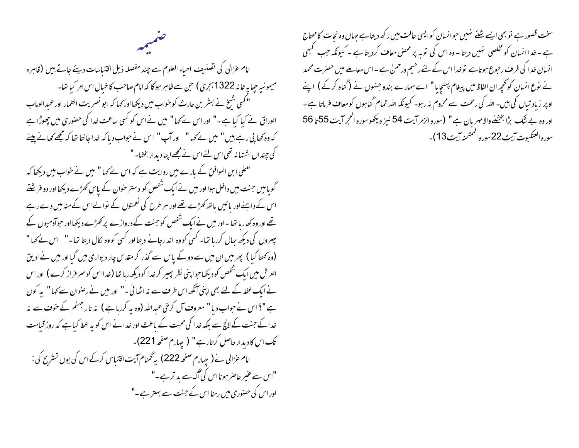امام عزالی کی تصنیف احباء العلوم سے چند مفصلہ ذیل اقتباسات دیئے جاتے بیں (قاہرہ میمونیہ حیایہ خانہ 1322 ہجری) حن سے ظاہر ہوگا کہ امام صاحب کا خیال اس امر کیا تھا-" کسی شیخ نے بسٹر بن حارث کو خواب میں دیکھا اور <sub>ک</sub>ہا کہ ابو نصریت الطمار اور عمدالوہاب الوراق نے کیا کیا ہے۔" اور اس نے کہا" میں نے اس کو کسی ساعت خدا کی حصنوری میں چھوڑا ہے کہ وہ کھا پی رہے ہیں " میں نے کہا" اور آپ" اس نے حواب دیا کہ غداجا نتا تھا کہ مجھے کھانے پینے کی چنداں اشتہا نہ تھی اس لئے اس نے مجھے اپنا دیدار بخشا۔"

"علی ابن الموافق کے بارے میں روایت ہے کہ اس نے کہا" میں نے خواب میں دیکھا کہ گویا میں جنت میں داخل ہوا اور میں نے ایک شخص کو دستر حوان کے پاس کھڑے دیکھا اور دو فرینتے اس کے داہنے اور پائیں باتھ کھڑے تھے اور مبر طرح کی نعمتوں کے نوالے اس کے منہ میں دے رہے تھے اور وہ کھاریا تھا ۔ اور میں نے ایک شخص کو جنت کے دروازے پر کھڑے دیکھااور حبوآدمیوں کے چہروں کی دیکھ بھال کررہا تھا۔ کسی کووہ اند رجانے دیتا اور کسی کووہ لکال دیتا تھا۔" اس نے کہا " (وہ کھتا گیا ) بھر میں ان میں سے دو کے پاس سے گذر کر مقدس چار دیواری میں گیا اور میں نے ادیق العرش میں ایک شخص کو دیکھاجوا پنی نظر پھیر کرخدا کودیکھ رہا تھا (خدااس کوسمر فراز کرے) اور اس نے ایک لحظہ کے لئے بھی اپنی آنکھ اس طرف سے نہ اٹھائی ۔" اور میں نے رصنوان سے کہا" پہ کون ہے"؟اس نے حواب دیا" معروف آل کرخی عبداللہ (وہ یہ کررہاہے ) نہ نار جہنم کے حوف سے نہ خدا کے جنت کے لالچ سے بلکہ خدا کی محبت کے باعث اور خدا نے اس کو بہ عطا کیا ہے کہ روز قیامت تک اس کادیدار حاصل کرتارہے" ( چہارم صفحہ 221)۔ امام عزالی نے ( چہارم صفحہ 222) بہ گھنام آیت اقتیاس کرکے اس کی یوں تسٹریح کی : "اس سے عنبر حاصر ہونااس کی گگ سے بد ترہے۔" اور اس کی حصنوری میں رہنا اس کے جنت سے بہتر ہے ۔"

سخت قصور ہے تو بھی ایسے شئے نہیں حوانسان کوایسی حالت میں رکھ دیتا ہے جہاں وہ نحات کامحتاج ہے ۔ خدا انسان کو مخلصی نہیں دیتا ۔ وہ اس کی توبہ پر محض معاف کردیتا ہے ۔ کیونکہ جب کہجی انسان خدا کی طرف رحوع ہوتاہے تو خدااس کے لئے رحیم ورحمنٰ ہے ۔اس معاملے میں حصرٰ ت محمد نے نوع انسان کو کچھ ان الفاظ میں پیغام پہنچایا" اسے ہمارے بندو جنہوں نے (گناہ کرکے ) اپنے اوپر زیاد تیاں کی بیں۔ اللہ کی رحمت سے محروم یہ رہو۔ کیونکہ اللہ تمام گناہوں کومعاف فرماتا ہے ۔ اور وہ بے شک بڑا بخشنے والا مہریان ہے " (سورہ الزمر آیت 54 نیز دیکھو سورہ الحجر آیت 55 تا 56 سوره العنكسوت آيت 22 سوره الممتحنه آيت 13)-